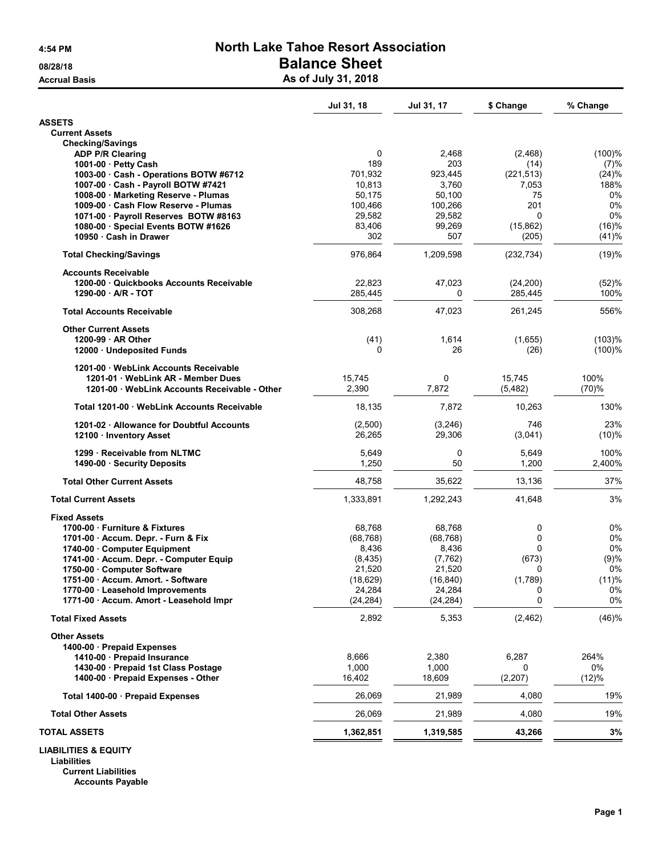## 4:54 PM North Lake Tahoe Resort Association 08/28/18 **Balance Sheet**

Accrual Basis **Accrual Basis** As of July 31, 2018

|                                                                        | Jul 31, 18         | Jul 31, 17         | \$ Change          | % Change       |
|------------------------------------------------------------------------|--------------------|--------------------|--------------------|----------------|
| <b>ASSETS</b>                                                          |                    |                    |                    |                |
| <b>Current Assets</b>                                                  |                    |                    |                    |                |
| <b>Checking/Savings</b>                                                |                    |                    |                    |                |
| <b>ADP P/R Clearing</b><br>1001-00 · Petty Cash                        | 0<br>189           | 2,468<br>203       | (2,468)            | (100)%         |
| 1003-00 Cash - Operations BOTW #6712                                   | 701,932            | 923,445            | (14)<br>(221, 513) | (7)%<br>(24)%  |
| 1007-00 Cash - Payroll BOTW #7421                                      | 10,813             | 3,760              | 7,053              | 188%           |
| 1008-00 Marketing Reserve - Plumas                                     | 50,175             | 50,100             | 75                 | 0%             |
| 1009-00 Cash Flow Reserve - Plumas                                     | 100,466            | 100,266            | 201                | 0%             |
| 1071-00 · Payroll Reserves BOTW #8163                                  | 29,582             | 29,582             | $\Omega$           | 0%             |
| 1080-00 Special Events BOTW #1626<br>10950 · Cash in Drawer            | 83,406<br>302      | 99,269<br>507      | (15, 862)<br>(205) | (16)%<br>(41)% |
| <b>Total Checking/Savings</b>                                          | 976,864            | 1,209,598          | (232, 734)         | (19)%          |
| <b>Accounts Receivable</b>                                             |                    |                    |                    |                |
| 1200-00 Quickbooks Accounts Receivable                                 | 22,823             | 47,023             | (24, 200)          | (52)%          |
| 1290-00 A/R - TOT                                                      | 285,445            | 0                  | 285,445            | 100%           |
| <b>Total Accounts Receivable</b>                                       | 308,268            | 47,023             | 261,245            | 556%           |
| <b>Other Current Assets</b>                                            |                    |                    |                    |                |
| 1200-99 AR Other                                                       | (41)               | 1,614              | (1,655)            | (103)%         |
| 12000 · Undeposited Funds                                              | 0                  | 26                 | (26)               | (100)%         |
| 1201-00 WebLink Accounts Receivable                                    |                    |                    |                    |                |
| 1201-01 WebLink AR - Member Dues                                       | 15,745             | 0                  | 15,745             | 100%           |
| 1201-00 WebLink Accounts Receivable - Other                            | 2,390              | 7,872              | (5, 482)           | (70)%          |
| Total 1201-00 WebLink Accounts Receivable                              | 18,135             | 7,872              | 10,263             | 130%           |
| 1201-02 · Allowance for Doubtful Accounts                              | (2,500)            | (3, 246)           | 746                | 23%            |
| 12100 · Inventory Asset                                                | 26,265             | 29,306             | (3,041)            | (10)%          |
| 1299 · Receivable from NLTMC                                           | 5,649              | 0                  | 5,649              | 100%           |
| 1490-00 · Security Deposits                                            | 1,250              | 50                 | 1,200              | 2,400%         |
| <b>Total Other Current Assets</b>                                      | 48,758             | 35,622             | 13,136             | 37%            |
| <b>Total Current Assets</b>                                            | 1,333,891          | 1,292,243          | 41,648             | 3%             |
| <b>Fixed Assets</b>                                                    |                    |                    |                    |                |
| 1700-00 · Furniture & Fixtures                                         | 68.768             | 68,768             | 0                  | 0%             |
| 1701-00 Accum. Depr. - Furn & Fix                                      | (68, 768)          | (68, 768)          | $\mathbf 0$        | 0%             |
| 1740-00 Computer Equipment                                             | 8,436              | 8,436              | 0                  | 0%             |
| 1741-00 · Accum. Depr. - Computer Equip<br>1750-00 · Computer Software | (8, 435)<br>21,520 | (7, 762)<br>21,520 | (673)<br>0         | (9)%<br>0%     |
| 1751-00 · Accum. Amort. - Software                                     | (18, 629)          | (16, 840)          | (1,789)            | (11)%          |
| 1770-00 · Leasehold Improvements                                       | 24,284             | 24,284             | 0                  | 0%             |
| 1771-00 · Accum. Amort - Leasehold Impr                                | (24, 284)          | (24, 284)          | 0                  | 0%             |
| <b>Total Fixed Assets</b>                                              | 2,892              | 5,353              | (2, 462)           | (46)%          |
| <b>Other Assets</b>                                                    |                    |                    |                    |                |
| 1400-00 · Prepaid Expenses                                             |                    |                    |                    |                |
| 1410-00 Prepaid Insurance                                              | 8,666              | 2,380              | 6,287              | 264%           |
| 1430-00 · Prepaid 1st Class Postage                                    | 1,000              | 1,000              | 0                  | 0%             |
| 1400-00 · Prepaid Expenses - Other                                     | 16,402             | 18,609             | (2, 207)           | (12)%          |
| Total 1400-00 · Prepaid Expenses                                       | 26,069             | 21,989             | 4,080              | 19%            |
| <b>Total Other Assets</b>                                              | 26,069             | 21,989             | 4,080              | 19%            |
| <b>TOTAL ASSETS</b>                                                    | 1,362,851          | 1,319,585          | 43,266             | 3%             |
| <b>LIABILITIES &amp; EQUITY</b>                                        |                    |                    |                    |                |

Liabilities

Current Liabilities Accounts Payable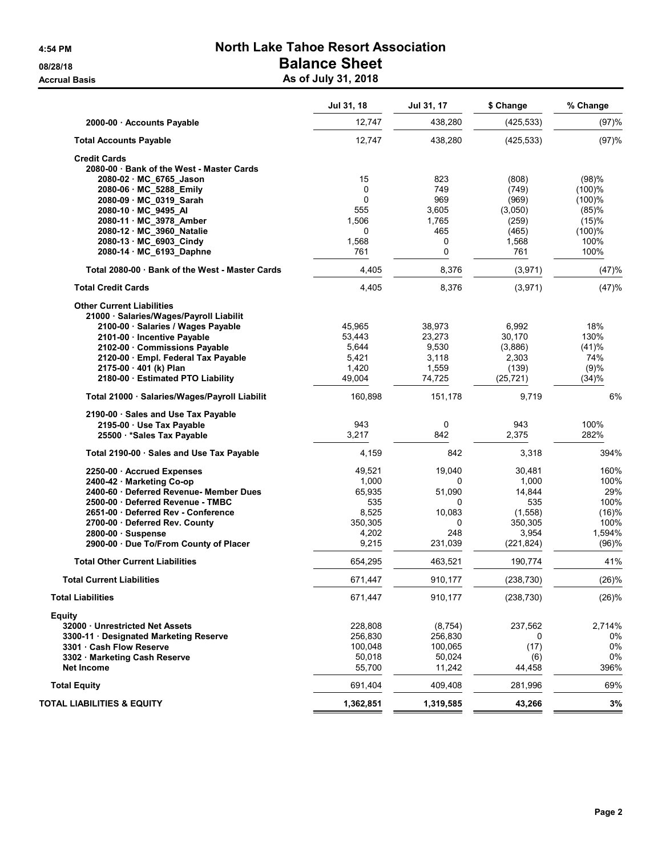# 4:54 PM North Lake Tahoe Resort Association 08/28/18 **Balance Sheet**

Accrual Basis **Accrual Basis** As of July 31, 2018

|                                                 | Jul 31, 18 | Jul 31, 17 | \$ Change  | % Change |
|-------------------------------------------------|------------|------------|------------|----------|
| 2000-00 · Accounts Payable                      | 12,747     | 438,280    | (425, 533) | (97)%    |
| <b>Total Accounts Payable</b>                   | 12,747     | 438,280    | (425, 533) | (97)%    |
| <b>Credit Cards</b>                             |            |            |            |          |
| 2080-00 · Bank of the West - Master Cards       |            |            |            |          |
| 2080-02 MC_6765_Jason                           | 15         | 823        | (808)      | (98)%    |
| 2080-06 MC_5288 Emily                           | 0          | 749        | (749)      | (100)%   |
| 2080-09 MC_0319_Sarah                           | $\Omega$   | 969        | (969)      | (100)%   |
| 2080-10 MC_9495_AI                              | 555        | 3,605      | (3,050)    | (85)%    |
| 2080-11 MC 3978 Amber                           | 1,506      | 1,765      | (259)      | (15)%    |
| 2080-12 MC 3960 Natalie                         | 0          | 465        | (465)      | (100)%   |
| 2080-13 MC_6903_Cindy                           | 1,568      | 0          | 1,568      | 100%     |
| 2080-14 MC 6193 Daphne                          | 761        | 0          | 761        | 100%     |
| Total 2080-00 · Bank of the West - Master Cards | 4,405      | 8,376      | (3, 971)   | (47)%    |
| <b>Total Credit Cards</b>                       | 4,405      | 8,376      | (3,971)    | (47)%    |
| <b>Other Current Liabilities</b>                |            |            |            |          |
| 21000 · Salaries/Wages/Payroll Liabilit         |            |            |            |          |
| 2100-00 · Salaries / Wages Payable              | 45,965     | 38,973     | 6,992      | 18%      |
| 2101-00 · Incentive Payable                     | 53,443     | 23,273     | 30,170     | 130%     |
| 2102-00 Commissions Payable                     | 5,644      | 9,530      | (3,886)    | (41)%    |
| 2120-00 · Empl. Federal Tax Payable             | 5,421      | 3,118      | 2,303      | 74%      |
| 2175-00 · 401 (k) Plan                          | 1,420      | 1,559      | (139)      | (9)%     |
| 2180-00 Estimated PTO Liability                 | 49,004     | 74,725     | (25, 721)  | (34)%    |
| Total 21000 · Salaries/Wages/Payroll Liabilit   | 160,898    | 151,178    | 9,719      | 6%       |
| 2190-00 · Sales and Use Tax Payable             |            |            |            |          |
| 2195-00 · Use Tax Payable                       | 943        | 0          | 943        | 100%     |
| 25500 * Sales Tax Payable                       | 3,217      | 842        | 2,375      | 282%     |
| Total 2190-00 · Sales and Use Tax Payable       | 4,159      | 842        | 3,318      | 394%     |
| 2250-00 Accrued Expenses                        | 49,521     | 19,040     | 30,481     | 160%     |
| 2400-42 · Marketing Co-op                       | 1,000      | 0          | 1,000      | 100%     |
| 2400-60 · Deferred Revenue- Member Dues         | 65,935     | 51,090     | 14,844     | 29%      |
| 2500-00 Deferred Revenue - TMBC                 | 535        | 0          | 535        | 100%     |
| 2651-00 Deferred Rev - Conference               | 8,525      | 10,083     | (1,558)    | (16)%    |
| 2700-00 · Deferred Rev. County                  | 350,305    | 0          | 350,305    | 100%     |
| 2800-00 · Suspense                              | 4,202      | 248        | 3,954      | 1,594%   |
| 2900-00 · Due To/From County of Placer          | 9,215      | 231,039    | (221, 824) | (96)%    |
| <b>Total Other Current Liabilities</b>          | 654,295    | 463,521    | 190,774    | 41%      |
| <b>Total Current Liabilities</b>                | 671,447    | 910,177    | (238, 730) | (26)%    |
| <b>Total Liabilities</b>                        | 671,447    | 910,177    | (238, 730) | (26)%    |
| <b>Equity</b>                                   |            |            |            |          |
| 32000 Unrestricted Net Assets                   | 228,808    | (8, 754)   | 237,562    | 2,714%   |
| 3300-11 · Designated Marketing Reserve          | 256,830    | 256,830    | 0          | 0%       |
| 3301 Cash Flow Reserve                          | 100,048    | 100,065    | (17)       | 0%       |
| 3302 · Marketing Cash Reserve                   | 50,018     | 50,024     | (6)        | 0%       |
| <b>Net Income</b>                               | 55,700     | 11,242     | 44,458     | 396%     |
| <b>Total Equity</b>                             | 691,404    | 409,408    | 281,996    | 69%      |
| <b>TOTAL LIABILITIES &amp; EQUITY</b>           | 1,362,851  | 1,319,585  | 43,266     | 3%       |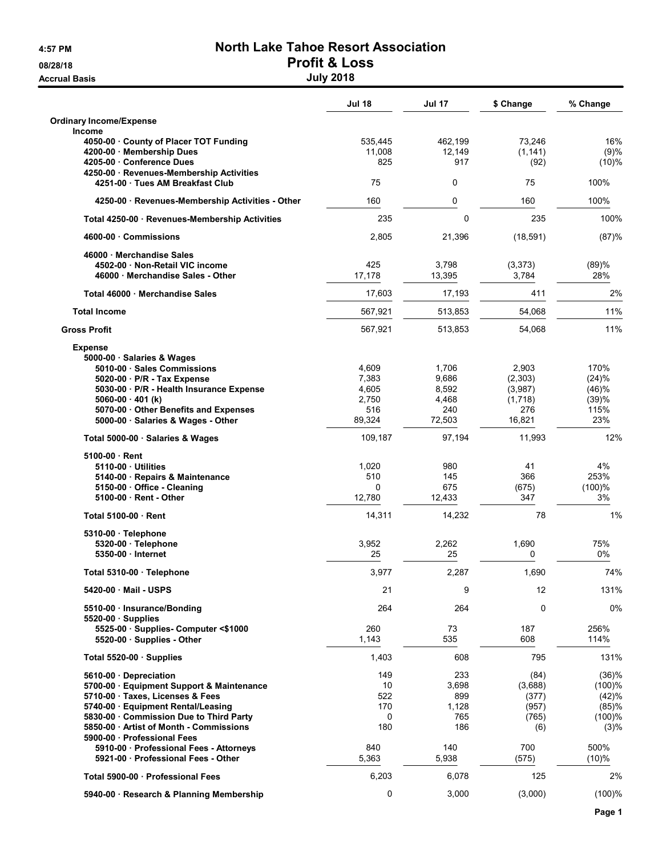**Accrual Basis** 

# 4:57 PM North Lake Tahoe Resort Association 08/28/18<br>Accrual Basis and the control of the control of the control of the control of the control of the control of th<br>Duly 2018

|                                                                             | <b>Jul 18</b> | <b>Jul 17</b> | \$ Change     | % Change     |
|-----------------------------------------------------------------------------|---------------|---------------|---------------|--------------|
| <b>Ordinary Income/Expense</b><br><b>Income</b>                             |               |               |               |              |
| 4050-00 County of Placer TOT Funding                                        | 535,445       | 462,199       | 73,246        | 16%          |
| 4200-00 Membership Dues<br>4205-00 Conference Dues                          | 11,008<br>825 | 12,149<br>917 | (1, 141)      | (9)%         |
| 4250-00 · Revenues-Membership Activities                                    |               |               | (92)          | (10)%        |
| 4251-00 · Tues AM Breakfast Club                                            | 75            | 0             | 75            | 100%         |
| 4250-00 · Revenues-Membership Activities - Other                            | 160           | 0             | 160           | 100%         |
| Total 4250-00 · Revenues-Membership Activities                              | 235           | $\mathbf 0$   | 235           | 100%         |
| 4600-00 Commissions                                                         | 2,805         | 21,396        | (18, 591)     | (87)%        |
| 46000 Merchandise Sales                                                     |               |               |               |              |
| 4502-00 Non-Retail VIC income                                               | 425           | 3,798         | (3,373)       | (89)%        |
| 46000 Merchandise Sales - Other                                             | 17,178        | 13,395        | 3,784         | 28%          |
| Total 46000 Merchandise Sales                                               | 17,603        | 17,193        | 411           | 2%           |
| <b>Total Income</b>                                                         | 567,921       | 513,853       | 54,068        | 11%          |
| <b>Gross Profit</b>                                                         | 567,921       | 513,853       | 54,068        | 11%          |
| <b>Expense</b><br>5000-00 · Salaries & Wages                                |               |               |               |              |
| 5010-00 · Sales Commissions                                                 | 4,609         | 1,706         | 2,903         | 170%         |
| 5020-00 · P/R - Tax Expense                                                 | 7,383         | 9,686         | (2,303)       | (24)%        |
| 5030-00 · P/R - Health Insurance Expense                                    | 4,605         | 8,592         | (3,987)       | (46)%        |
| $5060-00 \cdot 401$ (k)                                                     | 2,750         | 4,468         | (1,718)       | (39)%        |
| 5070-00 · Other Benefits and Expenses<br>5000-00 · Salaries & Wages - Other | 516<br>89,324 | 240<br>72,503 | 276<br>16,821 | 115%<br>23%  |
| Total 5000-00 · Salaries & Wages                                            | 109,187       | 97,194        | 11,993        | 12%          |
| $5100-00 \cdot$ Rent                                                        |               |               |               |              |
| 5110-00 Utilities                                                           | 1,020         | 980           | 41            | 4%           |
| 5140-00 · Repairs & Maintenance                                             | 510           | 145           | 366           | 253%         |
| 5150-00 Office - Cleaning                                                   | 0             | 675           | (675)         | (100)%       |
| 5100-00 · Rent - Other                                                      | 12,780        | 12,433        | 347           | 3%           |
| Total 5100-00 · Rent                                                        | 14,311        | 14,232        | 78            | 1%           |
| 5310-00 · Telephone                                                         | 3,952         | 2,262         | 1,690         | 75%          |
| 5320-00 · Telephone<br>5350-00 · Internet                                   | 25            | 25            | 0             | 0%           |
| Total 5310-00 · Telephone                                                   | 3,977         | 2,287         | 1,690         | 74%          |
| 5420-00 · Mail - USPS                                                       | 21            | 9             | 12            | 131%         |
| 5510-00 · Insurance/Bonding                                                 | 264           | 264           | 0             | 0%           |
| $5520-00$ · Supplies                                                        |               |               |               |              |
| 5525-00 · Supplies- Computer <\$1000<br>5520-00 Supplies - Other            | 260<br>1,143  | 73<br>535     | 187<br>608    | 256%<br>114% |
| Total $5520-00$ · Supplies                                                  | 1,403         | 608           | 795           | 131%         |
| 5610-00 Depreciation                                                        | 149           | 233           | (84)          | (36)%        |
| 5700-00 · Equipment Support & Maintenance                                   | 10            | 3,698         | (3,688)       | (100)%       |
| 5710-00 · Taxes, Licenses & Fees                                            | 522           | 899           | (377)         | (42)%        |
| 5740-00 · Equipment Rental/Leasing                                          | 170           | 1,128         | (957)         | (85)%        |
| 5830-00 Commission Due to Third Party                                       | 0             | 765           | (765)         | (100)%       |
| 5850-00 Artist of Month - Commissions                                       | 180           | 186           | (6)           | (3)%         |
| 5900-00 · Professional Fees<br>5910-00 · Professional Fees - Attorneys      | 840           | 140           | 700           | 500%         |
| 5921-00 Professional Fees - Other                                           | 5,363         | 5,938         | (575)         | (10)%        |
| Total 5900-00 · Professional Fees                                           | 6,203         | 6,078         | 125           | 2%           |
| 5940-00 · Research & Planning Membership                                    | 0             | 3,000         | (3,000)       | (100)%       |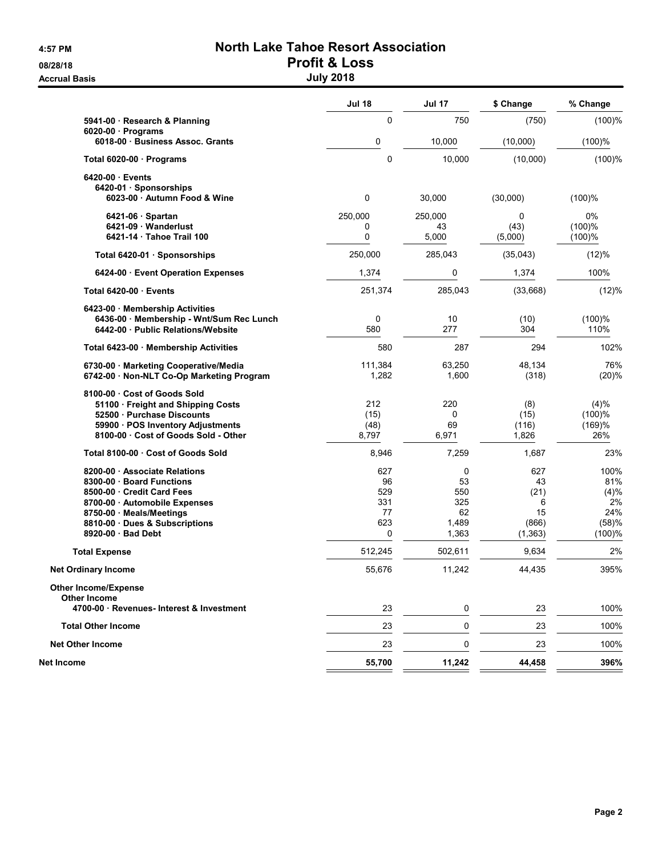**Accrual Basis** 

# 4:57 PM North Lake Tahoe Resort Association 08/28/18 Profit & Loss

| <b>July 2018</b> |  |  |
|------------------|--|--|

|                                                                                    | <b>Jul 18</b>      | <b>Jul 17</b>   | \$ Change       | % Change         |
|------------------------------------------------------------------------------------|--------------------|-----------------|-----------------|------------------|
| 5941-00 · Research & Planning                                                      | $\mathbf 0$        | 750             | (750)           | $(100)$ %        |
| $6020-00$ · Programs<br>6018-00 · Business Assoc. Grants                           | 0                  | 10,000          | (10,000)        | (100)%           |
| Total 6020-00 · Programs                                                           | $\mathbf 0$        | 10,000          | (10,000)        | (100)%           |
| 6420-00 Events                                                                     |                    |                 |                 |                  |
| 6420-01 · Sponsorships<br>6023-00 · Autumn Food & Wine                             | 0                  | 30,000          | (30,000)        | (100)%           |
|                                                                                    |                    |                 |                 |                  |
| $6421-06$ · Spartan                                                                | 250,000            | 250,000         | 0               | 0%               |
| 6421-09 Wanderlust<br>6421-14 Tahoe Trail 100                                      | 0<br>0             | 43<br>5,000     | (43)<br>(5,000) | (100)%<br>(100)% |
| Total 6420-01 · Sponsorships                                                       | 250,000            | 285,043         | (35,043)        | (12)%            |
|                                                                                    |                    |                 |                 |                  |
| 6424-00 · Event Operation Expenses                                                 | 1,374              | 0               | 1,374           | 100%             |
| Total 6420-00 Events                                                               | 251,374            | 285,043         | (33,668)        | (12)%            |
| 6423-00 Membership Activities                                                      |                    |                 |                 |                  |
| 6436-00 · Membership - Wnt/Sum Rec Lunch<br>6442-00 Public Relations/Website       | $\mathbf 0$<br>580 | 10<br>277       | (10)<br>304     | (100)%<br>110%   |
| Total 6423-00 · Membership Activities                                              | 580                | 287             | 294             | 102%             |
| 6730-00 · Marketing Cooperative/Media<br>6742-00 · Non-NLT Co-Op Marketing Program | 111,384<br>1,282   | 63,250<br>1,600 | 48,134<br>(318) | 76%<br>(20)%     |
| 8100-00 Cost of Goods Sold                                                         |                    |                 |                 |                  |
| 51100 · Freight and Shipping Costs                                                 | 212                | 220             | (8)             | (4)%             |
| 52500 Purchase Discounts<br>59900 · POS Inventory Adjustments                      | (15)<br>(48)       | 0<br>69         | (15)<br>(116)   | (100)%<br>(169)% |
| 8100-00 · Cost of Goods Sold - Other                                               | 8,797              | 6,971           | 1,826           | 26%              |
| Total 8100-00 · Cost of Goods Sold                                                 | 8,946              | 7,259           | 1,687           | 23%              |
| 8200-00 Associate Relations                                                        | 627                | 0               | 627             | 100%             |
| 8300-00 · Board Functions                                                          | 96                 | 53              | 43              | 81%              |
| 8500-00 Credit Card Fees                                                           | 529<br>331         | 550<br>325      | (21)            | (4)%<br>2%       |
| 8700-00 Automobile Expenses<br>8750-00 · Meals/Meetings                            | 77                 | 62              | 6<br>15         | 24%              |
| 8810-00 · Dues & Subscriptions                                                     | 623                | 1,489           | (866)           | (58)%            |
| 8920-00 · Bad Debt                                                                 | $\mathbf 0$        | 1,363           | (1, 363)        | (100)%           |
| <b>Total Expense</b>                                                               | 512,245            | 502,611         | 9,634           | 2%               |
| <b>Net Ordinary Income</b>                                                         | 55,676             | 11,242          | 44,435          | 395%             |
| <b>Other Income/Expense</b><br><b>Other Income</b>                                 |                    |                 |                 |                  |
| 4700-00 Revenues- Interest & Investment                                            | 23                 | 0               | 23              | 100%             |
| <b>Total Other Income</b>                                                          | 23                 | 0               | 23              | 100%             |
| <b>Net Other Income</b>                                                            | 23                 | 0               | 23              | 100%             |
| Net Income                                                                         | 55,700             | 11,242          | 44,458          | 396%             |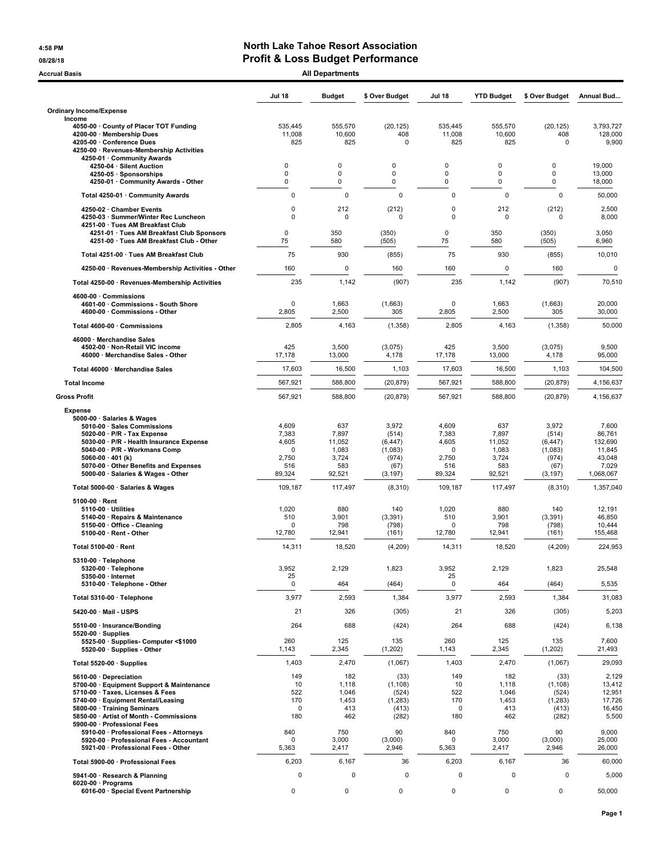#### 4:58 PM North Lake Tahoe Resort Association 08/28/18 08/28/18

| Accrual Basis                                                                                                                                                                                                                                                                                           |                                                                   | <b>All Departments</b>                                    |                                                                    |                                                               |                                                           |                                                                    |                                                                      |
|---------------------------------------------------------------------------------------------------------------------------------------------------------------------------------------------------------------------------------------------------------------------------------------------------------|-------------------------------------------------------------------|-----------------------------------------------------------|--------------------------------------------------------------------|---------------------------------------------------------------|-----------------------------------------------------------|--------------------------------------------------------------------|----------------------------------------------------------------------|
|                                                                                                                                                                                                                                                                                                         | <b>Jul 18</b>                                                     | <b>Budget</b>                                             | \$ Over Budget                                                     | <b>Jul 18</b>                                                 | <b>YTD Budget</b>                                         | \$ Over Budget                                                     | Annual Bud                                                           |
| <b>Ordinary Income/Expense</b>                                                                                                                                                                                                                                                                          |                                                                   |                                                           |                                                                    |                                                               |                                                           |                                                                    |                                                                      |
| Income<br>4050-00 County of Placer TOT Funding<br>4200-00 · Membership Dues<br>4205-00 · Conference Dues<br>4250-00 · Revenues-Membership Activities                                                                                                                                                    | 535,445<br>11,008<br>825                                          | 555,570<br>10,600<br>825                                  | (20, 125)<br>408<br>$\mathbf 0$                                    | 535,445<br>11,008<br>825                                      | 555,570<br>10,600<br>825                                  | (20, 125)<br>408<br>$\mathbf 0$                                    | 3,793,727<br>128,000<br>9,900                                        |
| 4250-01 · Community Awards<br>4250-04 · Silent Auction<br>4250-05 · Sponsorships<br>4250-01 · Community Awards - Other                                                                                                                                                                                  | 0<br>0<br>0                                                       | $\Omega$<br>0<br>0                                        | 0<br>$\mathbf 0$<br>0                                              | 0<br>0<br>0                                                   | 0<br>0<br>0                                               | 0<br>0<br>0                                                        | 19,000<br>13,000<br>18,000                                           |
| Total 4250-01 · Community Awards                                                                                                                                                                                                                                                                        | 0                                                                 | $\mathbf 0$                                               | $\mathbf 0$                                                        | $\mathbf 0$                                                   | $\mathbf 0$                                               | 0                                                                  | 50,000                                                               |
| 4250-02 · Chamber Events<br>4250-03 · Summer/Winter Rec Luncheon<br>4251-00 · Tues AM Breakfast Club                                                                                                                                                                                                    | 0<br>$\mathbf 0$                                                  | 212<br>0                                                  | (212)<br>$\Omega$                                                  | 0<br>0                                                        | 212<br>0                                                  | (212)<br>$\Omega$                                                  | 2,500<br>8,000                                                       |
| 4251-01 · Tues AM Breakfast Club Sponsors<br>4251-00 · Tues AM Breakfast Club - Other                                                                                                                                                                                                                   | 0<br>75                                                           | 350<br>580                                                | (350)<br>(505)                                                     | 0<br>75                                                       | 350<br>580                                                | (350)<br>(505)                                                     | 3,050<br>6,960                                                       |
| Total 4251-00 · Tues AM Breakfast Club                                                                                                                                                                                                                                                                  | 75                                                                | 930                                                       | (855)                                                              | 75                                                            | 930                                                       | (855)                                                              | 10,010                                                               |
| 4250-00 · Revenues-Membership Activities - Other                                                                                                                                                                                                                                                        | 160                                                               | $\pmb{0}$                                                 | 160                                                                | 160                                                           | $\pmb{0}$                                                 | 160                                                                | $\mathbf 0$                                                          |
| Total 4250-00 · Revenues-Membership Activities                                                                                                                                                                                                                                                          | 235                                                               | 1,142                                                     | (907)                                                              | 235                                                           | 1,142                                                     | (907)                                                              | 70,510                                                               |
| 4600-00 Commissions<br>4601-00 Commissions - South Shore<br>4600-00 · Commissions - Other                                                                                                                                                                                                               | $\mathbf 0$<br>2,805                                              | 1,663<br>2,500                                            | (1,663)<br>305                                                     | $\mathbf 0$<br>2,805                                          | 1,663<br>2,500                                            | (1,663)<br>305                                                     | 20,000<br>30,000                                                     |
| Total 4600-00 · Commissions                                                                                                                                                                                                                                                                             | 2,805                                                             | 4,163                                                     | (1, 358)                                                           | 2,805                                                         | 4,163                                                     | (1,358)                                                            | 50,000                                                               |
| 46000 · Merchandise Sales<br>4502-00 · Non-Retail VIC income<br>46000 · Merchandise Sales - Other                                                                                                                                                                                                       | 425<br>17,178                                                     | 3,500<br>13,000                                           | (3,075)<br>4,178                                                   | 425<br>17,178                                                 | 3,500<br>13,000                                           | (3,075)<br>4,178                                                   | 9,500<br>95,000                                                      |
| Total 46000 · Merchandise Sales                                                                                                                                                                                                                                                                         | 17,603                                                            | 16,500                                                    | 1,103                                                              | 17,603                                                        | 16,500                                                    | 1,103                                                              | 104,500                                                              |
| <b>Total Income</b>                                                                                                                                                                                                                                                                                     | 567,921                                                           | 588,800                                                   | (20, 879)                                                          | 567,921                                                       | 588,800                                                   | (20, 879)                                                          | 4,156,637                                                            |
| <b>Gross Profit</b>                                                                                                                                                                                                                                                                                     | 567,921                                                           | 588,800                                                   | (20, 879)                                                          | 567,921                                                       | 588,800                                                   | (20, 879)                                                          | 4,156,637                                                            |
| <b>Expense</b><br>5000-00 · Salaries & Wages<br>5010-00 · Sales Commissions<br>5020-00 $\cdot$ P/R - Tax Expense<br>5030-00 · P/R - Health Insurance Expense<br>5040-00 · P/R - Workmans Comp<br>5060-00 $\cdot$ 401 (k)<br>5070-00 · Other Benefits and Expenses<br>5000-00 · Salaries & Wages - Other | 4,609<br>7,383<br>4,605<br><sup>0</sup><br>2,750<br>516<br>89,324 | 637<br>7,897<br>11,052<br>1,083<br>3,724<br>583<br>92,521 | 3,972<br>(514)<br>(6, 447)<br>(1,083)<br>(974)<br>(67)<br>(3, 197) | 4,609<br>7,383<br>4,605<br>$\Omega$<br>2,750<br>516<br>89,324 | 637<br>7,897<br>11,052<br>1,083<br>3,724<br>583<br>92,521 | 3,972<br>(514)<br>(6, 447)<br>(1,083)<br>(974)<br>(67)<br>(3, 197) | 7,600<br>86,761<br>132,690<br>11,845<br>43,048<br>7,029<br>1,068,067 |
| Total 5000-00 · Salaries & Wages                                                                                                                                                                                                                                                                        | 109,187                                                           | 117,497                                                   | (8,310)                                                            | 109,187                                                       | 117,497                                                   | (8,310)                                                            | 1,357,040                                                            |
| $5100-00 \cdot$ Rent<br>$5110-00 \cdot$ Utilities<br>5140-00 · Repairs & Maintenance<br>5150-00 · Office - Cleaning<br>5100-00 · Rent - Other                                                                                                                                                           | 1,020<br>510<br>$\Omega$<br>12,780                                | 880<br>3,901<br>798<br>12,941                             | 140<br>(3, 391)<br>(798)<br>(161)                                  | 1,020<br>510<br>0<br>12,780                                   | 880<br>3,901<br>798<br>12,941                             | 140<br>(3, 391)<br>(798)<br>(161)                                  | 12,191<br>46,850<br>10,444<br>155,468                                |
| Total 5100-00 · Rent                                                                                                                                                                                                                                                                                    | 14,311                                                            | 18,520                                                    | (4,209)                                                            | 14,311                                                        | 18,520                                                    | (4,209)                                                            | 224,953                                                              |
| 5310-00 · Telephone<br>5320-00 · Telephone<br>5350-00 · Internet<br>5310-00 · Telephone - Other                                                                                                                                                                                                         | 3,952<br>25<br>0                                                  | 2,129<br>464                                              | 1,823<br>(464)                                                     | 3,952<br>25<br>$\pmb{0}$                                      | 2,129<br>464                                              | 1,823<br>(464)                                                     | 25,548<br>5,535                                                      |
| Total 5310-00 · Telephone                                                                                                                                                                                                                                                                               | 3,977                                                             | 2,593                                                     | 1,384                                                              | 3,977                                                         | 2,593                                                     | 1,384                                                              | 31,083                                                               |
| 5420-00 · Mail - USPS                                                                                                                                                                                                                                                                                   | 21                                                                | 326                                                       | (305)                                                              | 21                                                            | 326                                                       | (305)                                                              | 5,203                                                                |
| 5510-00 · Insurance/Bonding<br>$5520-00 \cdot$ Supplies<br>5525-00 · Supplies- Computer <\$1000                                                                                                                                                                                                         | 264<br>260                                                        | 688<br>125                                                | (424)<br>135                                                       | 264<br>260                                                    | 688<br>125                                                | (424)<br>135                                                       | 6,138<br>7,600                                                       |
| 5520-00 · Supplies - Other                                                                                                                                                                                                                                                                              | 1,143                                                             | 2,345                                                     | (1, 202)                                                           | 1,143                                                         | 2,345                                                     | (1, 202)                                                           | 21,493                                                               |
| Total 5520-00 · Supplies                                                                                                                                                                                                                                                                                | 1,403                                                             | 2,470                                                     | (1,067)                                                            | 1,403                                                         | 2,470                                                     | (1,067)                                                            | 29,093                                                               |
| 5610-00 · Depreciation<br>5700-00 · Equipment Support & Maintenance<br>5710-00 · Taxes, Licenses & Fees<br>5740-00 · Equipment Rental/Leasing<br>5800-00 · Training Seminars<br>5850-00 · Artist of Month - Commissions<br>5900-00 · Professional Fees<br>5910-00 · Professional Fees - Attorneys       | 149<br>10<br>522<br>170<br>0<br>180<br>840                        | 182<br>1,118<br>1,046<br>1,453<br>413<br>462<br>750       | (33)<br>(1, 108)<br>(524)<br>(1, 283)<br>(413)<br>(282)<br>90      | 149<br>10<br>522<br>170<br>0<br>180<br>840                    | 182<br>1,118<br>1,046<br>1,453<br>413<br>462<br>750       | (33)<br>(1, 108)<br>(524)<br>(1, 283)<br>(413)<br>(282)<br>90      | 2,129<br>13,412<br>12,951<br>17,726<br>16,450<br>5,500<br>9,000      |
| 5920-00 · Professional Fees - Accountant<br>5921-00 · Professional Fees - Other                                                                                                                                                                                                                         | $\mathbf 0$<br>5,363                                              | 3,000<br>2,417                                            | (3,000)<br>2,946                                                   | 0<br>5,363                                                    | 3,000<br>2,417                                            | (3,000)<br>2,946                                                   | 25,000<br>26,000                                                     |
| Total 5900-00 · Professional Fees                                                                                                                                                                                                                                                                       | 6,203                                                             | 6,167                                                     | 36                                                                 | 6,203                                                         | 6,167                                                     | 36                                                                 | 60,000                                                               |
| 5941-00 · Research & Planning<br>6020-00 $\cdot$ Programs<br>6016-00 · Special Event Partnership                                                                                                                                                                                                        | 0<br>0                                                            | $\mathbf 0$<br>$\pmb{0}$                                  | 0<br>$\mathbf 0$                                                   | 0<br>$\mathbf 0$                                              | $\mathbf 0$<br>$\mathbf 0$                                | 0<br>$\mathbf 0$                                                   | 5,000<br>50,000                                                      |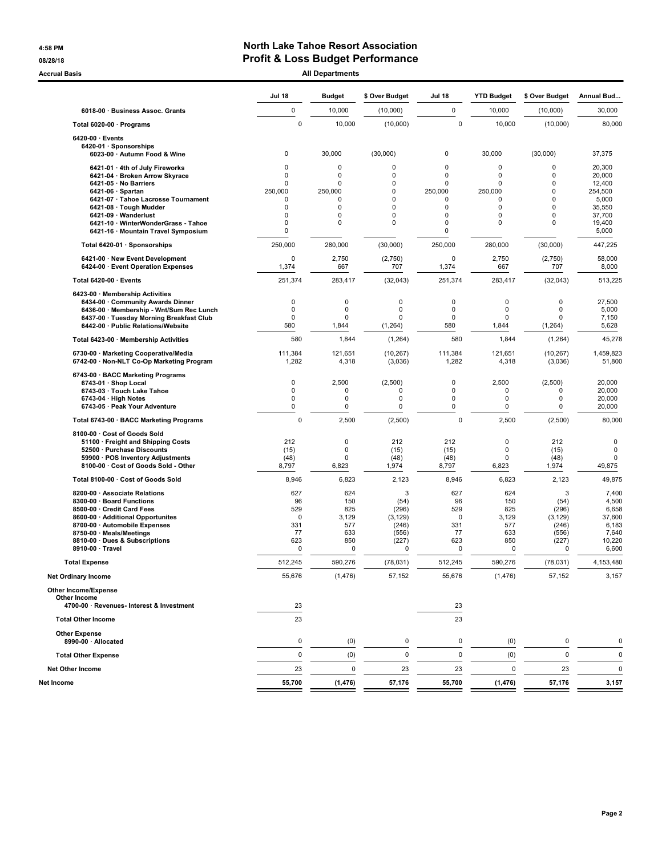### 4:58 PM North Lake Tahoe Resort Association 08/28/18 08/28/18

Accrual Basis **Accrual Basis All Departments** 

|                                                                                                                                                                                                                                                  | <b>Jul 18</b>                                            | <b>Budget</b>                                        | \$ Over Budget                                                        | <b>Jul 18</b>                                            | <b>YTD Budget</b>                                    | \$ Over Budget                                                        | Annual Bud                                                             |
|--------------------------------------------------------------------------------------------------------------------------------------------------------------------------------------------------------------------------------------------------|----------------------------------------------------------|------------------------------------------------------|-----------------------------------------------------------------------|----------------------------------------------------------|------------------------------------------------------|-----------------------------------------------------------------------|------------------------------------------------------------------------|
| 6018-00 · Business Assoc. Grants                                                                                                                                                                                                                 | 0                                                        | 10,000                                               | (10,000)                                                              | 0                                                        | 10,000                                               | (10,000)                                                              | 30,000                                                                 |
| Total 6020-00 · Programs                                                                                                                                                                                                                         | 0                                                        | 10,000                                               | (10,000)                                                              | 0                                                        | 10,000                                               | (10,000)                                                              | 80,000                                                                 |
| $6420-00 \cdot$ Events<br>6420-01 · Sponsorships<br>6023-00 · Autumn Food & Wine                                                                                                                                                                 | 0                                                        | 30,000                                               | (30,000)                                                              | $\pmb{0}$                                                | 30,000                                               | (30,000)                                                              | 37,375                                                                 |
| 6421-01 · 4th of July Fireworks<br>6421-04 · Broken Arrow Skyrace<br>6421-05 · No Barriers                                                                                                                                                       | $\Omega$<br>$\Omega$<br>$\Omega$                         | $\mathbf 0$<br>$\mathbf 0$<br>$\mathbf 0$            | 0<br>$\mathbf 0$<br>0                                                 | $\mathbf 0$<br>$\mathbf 0$<br>$\mathbf 0$                | 0<br>0<br>0                                          | 0<br>$\mathbf 0$<br>0                                                 | 20,300<br>20,000                                                       |
| $6421-06 \cdot$ Spartan<br>6421-07 · Tahoe Lacrosse Tournament<br>6421-08 · Tough Mudder<br>6421-09 · Wanderlust<br>6421-10 · WinterWonderGrass - Tahoe<br>6421-16 · Mountain Travel Symposium                                                   | 250,000<br>$\Omega$<br>0<br>$\Omega$<br>0<br>0           | 250,000<br>$\mathbf 0$<br>0<br>0<br>$\mathbf 0$      | $\mathbf 0$<br>$\mathbf 0$<br>0<br>0<br>0                             | 250,000<br>0<br>0<br>0<br>$\mathbf 0$<br>0               | 250,000<br>0<br>0<br>0<br>0                          | $\mathbf 0$<br>$\mathbf 0$<br>0<br>0<br>0                             | 12,400<br>254,500<br>5,000<br>35,550<br>37,700<br>19,400<br>5,000      |
| Total 6420-01 · Sponsorships                                                                                                                                                                                                                     | 250,000                                                  | 280,000                                              | (30,000)                                                              | 250,000                                                  | 280,000                                              | (30,000)                                                              | 447,225                                                                |
| 6421-00 · New Event Development<br>6424-00 · Event Operation Expenses                                                                                                                                                                            | 0<br>1,374                                               | 2,750<br>667                                         | (2,750)<br>707                                                        | 0<br>1,374                                               | 2,750<br>667                                         | (2,750)<br>707                                                        | 58,000<br>8,000                                                        |
| Total 6420-00 · Events                                                                                                                                                                                                                           | 251,374                                                  | 283,417                                              | (32,043)                                                              | 251,374                                                  | 283,417                                              | (32,043)                                                              | 513,225                                                                |
| 6423-00 · Membership Activities<br>6434-00 · Community Awards Dinner<br>6436-00 · Membership - Wnt/Sum Rec Lunch<br>6437-00 · Tuesday Morning Breakfast Club<br>6442-00 · Public Relations/Website                                               | 0<br>0<br>0<br>580                                       | 0<br>0<br>$\Omega$<br>1,844                          | 0<br>0<br>$\Omega$<br>(1, 264)                                        | 0<br>$\mathbf 0$<br>$\mathbf 0$<br>580                   | $\mathbf 0$<br>$\mathbf 0$<br>$\Omega$<br>1,844      | 0<br>$\mathbf 0$<br>$\Omega$<br>(1, 264)                              | 27,500<br>5,000<br>7,150<br>5,628                                      |
| Total 6423-00 · Membership Activities                                                                                                                                                                                                            | 580                                                      | 1,844                                                | (1,264)                                                               | 580                                                      | 1,844                                                | (1,264)                                                               | 45,278                                                                 |
| 6730-00 · Marketing Cooperative/Media<br>6742-00 · Non-NLT Co-Op Marketing Program                                                                                                                                                               | 111,384<br>1,282                                         | 121,651<br>4,318                                     | (10, 267)<br>(3,036)                                                  | 111,384<br>1,282                                         | 121,651<br>4,318                                     | (10, 267)<br>(3,036)                                                  | 1,459,823<br>51,800                                                    |
| 6743-00 · BACC Marketing Programs<br>6743-01 · Shop Local<br>6743-03 · Touch Lake Tahoe<br>$6743-04 \cdot$ High Notes<br>6743-05 · Peak Your Adventure                                                                                           | 0<br>0<br>0<br>0                                         | 2,500<br>$\Omega$<br>0<br>0                          | (2,500)<br>$\Omega$<br>0<br>0                                         | 0<br>$\mathbf 0$<br>0<br>0                               | 2,500<br>$\mathbf 0$<br>$\mathbf 0$<br>0             | (2,500)<br>0<br>$\mathbf 0$<br>$\mathbf 0$                            | 20,000<br>20,000<br>20,000<br>20,000                                   |
| Total 6743-00 · BACC Marketing Programs                                                                                                                                                                                                          | $\mathbf 0$                                              | 2,500                                                | (2,500)                                                               | $\pmb{0}$                                                | 2,500                                                | (2,500)                                                               | 80,000                                                                 |
| 8100-00 · Cost of Goods Sold<br>51100 · Freight and Shipping Costs<br>52500 · Purchase Discounts<br>59900 · POS Inventory Adjustments<br>8100-00 · Cost of Goods Sold - Other                                                                    | 212<br>(15)<br>(48)<br>8,797                             | $\mathbf 0$<br>$\Omega$<br>$\Omega$<br>6,823         | 212<br>(15)<br>(48)<br>1,974                                          | 212<br>(15)<br>(48)<br>8,797                             | 0<br>$\Omega$<br>0<br>6,823                          | 212<br>(15)<br>(48)<br>1,974                                          | 0<br>$\mathbf 0$<br>0<br>49,875                                        |
| Total 8100-00 · Cost of Goods Sold                                                                                                                                                                                                               | 8,946                                                    | 6,823                                                | 2,123                                                                 | 8,946                                                    | 6,823                                                | 2,123                                                                 | 49,875                                                                 |
| 8200-00 · Associate Relations<br>8300-00 · Board Functions<br>8500-00 · Credit Card Fees<br>8600-00 · Additional Opportunites<br>8700-00 · Automobile Expenses<br>8750-00 · Meals/Meetings<br>8810-00 · Dues & Subscriptions<br>8910-00 · Travel | 627<br>96<br>529<br>$\mathbf 0$<br>331<br>77<br>623<br>0 | 624<br>150<br>825<br>3,129<br>577<br>633<br>850<br>0 | 3<br>(54)<br>(296)<br>(3, 129)<br>(246)<br>(556)<br>(227)<br>$\Omega$ | 627<br>96<br>529<br>$\mathbf 0$<br>331<br>77<br>623<br>0 | 624<br>150<br>825<br>3,129<br>577<br>633<br>850<br>0 | 3<br>(54)<br>(296)<br>(3, 129)<br>(246)<br>(556)<br>(227)<br>$\Omega$ | 7,400<br>4,500<br>6,658<br>37,600<br>6,183<br>7,640<br>10,220<br>6,600 |
| <b>Total Expense</b>                                                                                                                                                                                                                             | 512,245                                                  | 590.276                                              | (78, 031)                                                             | 512,245                                                  | 590,276                                              | (78, 031)                                                             | 4.153.480                                                              |
| <b>Net Ordinary Income</b>                                                                                                                                                                                                                       | 55,676                                                   | (1, 476)                                             | 57,152                                                                | 55,676                                                   | (1, 476)                                             | 57,152                                                                | 3,157                                                                  |
| <b>Other Income/Expense</b><br>Other Income<br>4700-00 · Revenues- Interest & Investment                                                                                                                                                         | 23                                                       |                                                      |                                                                       | 23                                                       |                                                      |                                                                       |                                                                        |
| <b>Total Other Income</b>                                                                                                                                                                                                                        | 23                                                       |                                                      |                                                                       | 23                                                       |                                                      |                                                                       |                                                                        |
| <b>Other Expense</b><br>8990-00 · Allocated                                                                                                                                                                                                      | $\mathbf 0$                                              | (0)                                                  | 0                                                                     | $\pmb{0}$                                                | (0)                                                  | 0                                                                     | 0                                                                      |
| <b>Total Other Expense</b>                                                                                                                                                                                                                       | $\mathbf 0$                                              | (0)                                                  | $\mathbf 0$                                                           | 0                                                        | (0)                                                  | $\mathbf 0$                                                           | 0                                                                      |
| <b>Net Other Income</b>                                                                                                                                                                                                                          | 23                                                       | 0                                                    | 23                                                                    | 23                                                       | 0                                                    | 23                                                                    | 0                                                                      |
| Net Income                                                                                                                                                                                                                                       | 55,700                                                   | (1, 476)                                             | 57,176                                                                | 55,700                                                   | (1, 476)                                             | 57,176                                                                | 3,157                                                                  |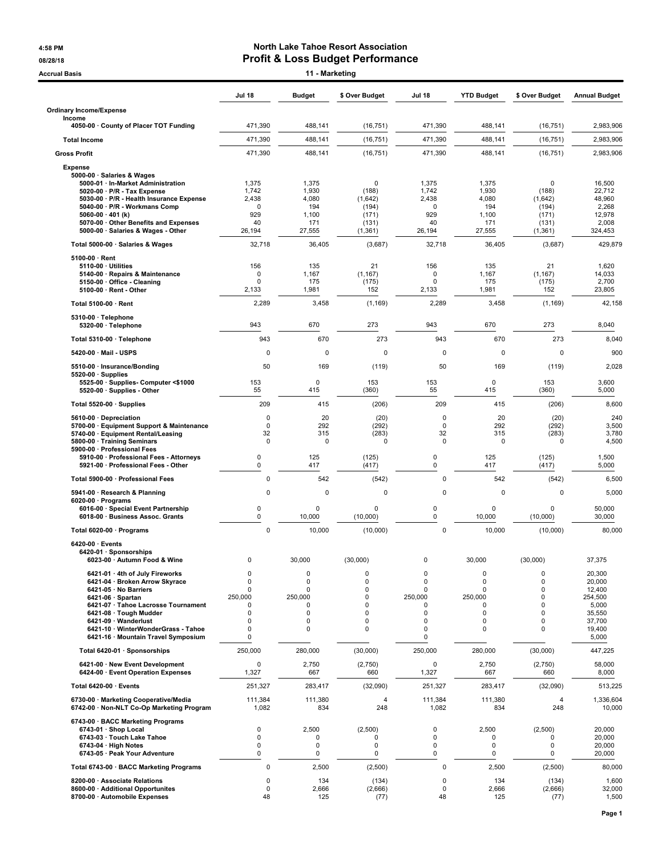#### 4:58 PM North Lake Tahoe Resort Association 08/28/18 **Profit & Loss Budget Performance**

| <b>Accrual Basis</b>                                                                                                                                                                                                                                                                   |                                                           | 11 - Marketing                                       |                                                                                     |                                                                            |                                                                                                     |                                                                              |                                                                                       |
|----------------------------------------------------------------------------------------------------------------------------------------------------------------------------------------------------------------------------------------------------------------------------------------|-----------------------------------------------------------|------------------------------------------------------|-------------------------------------------------------------------------------------|----------------------------------------------------------------------------|-----------------------------------------------------------------------------------------------------|------------------------------------------------------------------------------|---------------------------------------------------------------------------------------|
|                                                                                                                                                                                                                                                                                        | Jul 18                                                    | <b>Budget</b>                                        | \$ Over Budget                                                                      | Jul 18                                                                     | <b>YTD Budget</b>                                                                                   | \$ Over Budget                                                               | <b>Annual Budget</b>                                                                  |
| <b>Ordinary Income/Expense</b><br>Income                                                                                                                                                                                                                                               |                                                           |                                                      |                                                                                     |                                                                            |                                                                                                     |                                                                              |                                                                                       |
| 4050-00 County of Placer TOT Funding                                                                                                                                                                                                                                                   | 471,390                                                   | 488,141                                              | (16, 751)                                                                           | 471,390                                                                    | 488,141                                                                                             | (16, 751)                                                                    | 2,983,906                                                                             |
| <b>Total Income</b>                                                                                                                                                                                                                                                                    | 471,390                                                   | 488,141                                              | (16, 751)                                                                           | 471,390                                                                    | 488,141                                                                                             | (16, 751)                                                                    | 2.983.906                                                                             |
| <b>Gross Profit</b>                                                                                                                                                                                                                                                                    | 471,390                                                   | 488,141                                              | (16, 751)                                                                           | 471,390                                                                    | 488,141                                                                                             | (16, 751)                                                                    | 2,983,906                                                                             |
| <b>Expense</b><br>5000-00 · Salaries & Wages<br>5000-01 · In-Market Administration<br>$5020-00 \cdot P/R$ - Tax Expense<br>5030-00 · P/R - Health Insurance Expense<br>5040-00 · P/R - Workmans Comp<br>5060-00 $\cdot$ 401 (k)<br>5070-00 · Other Benefits and Expenses               | 1,375<br>1,742<br>2,438<br>0<br>929<br>40                 | 1,375<br>1,930<br>4,080<br>194<br>1,100<br>171       | 0<br>(188)<br>(1,642)<br>(194)<br>(171)                                             | 1,375<br>1,742<br>2,438<br>0<br>929<br>40                                  | 1,375<br>1,930<br>4,080<br>194<br>1,100<br>171                                                      | $\Omega$<br>(188)<br>(1,642)<br>(194)<br>(171)                               | 16,500<br>22,712<br>48,960<br>2,268<br>12,978<br>2,008                                |
| 5000-00 · Salaries & Wages - Other                                                                                                                                                                                                                                                     | 26,194                                                    | 27,555                                               | (131)<br>(1, 361)                                                                   | 26,194                                                                     | 27,555                                                                                              | (131)<br>(1, 361)                                                            | 324,453                                                                               |
| Total 5000-00 · Salaries & Wages                                                                                                                                                                                                                                                       | 32,718                                                    | 36,405                                               | (3,687)                                                                             | 32,718                                                                     | 36,405                                                                                              | (3,687)                                                                      | 429,879                                                                               |
| $5100-00 \cdot$ Rent<br>$5110-00 \cdot$ Utilities<br>5140-00 · Repairs & Maintenance<br>5150-00 Office - Cleaning<br>5100-00 · Rent - Other                                                                                                                                            | 156<br>$\Omega$<br>0<br>2,133                             | 135<br>1,167<br>175<br>1,981                         | 21<br>(1, 167)<br>(175)<br>152                                                      | 156<br>0<br>0<br>2,133                                                     | 135<br>1,167<br>175<br>1,981                                                                        | 21<br>(1, 167)<br>(175)<br>152                                               | 1,620<br>14,033<br>2,700<br>23,805                                                    |
| Total 5100-00 · Rent                                                                                                                                                                                                                                                                   | 2,289                                                     | 3,458                                                | (1, 169)                                                                            | 2,289                                                                      | 3,458                                                                                               | (1, 169)                                                                     | 42,158                                                                                |
| 5310-00 · Telephone<br>5320-00 · Telephone                                                                                                                                                                                                                                             | 943                                                       | 670                                                  | 273                                                                                 | 943                                                                        | 670                                                                                                 | 273                                                                          | 8,040                                                                                 |
| Total 5310-00 · Telephone                                                                                                                                                                                                                                                              | 943                                                       | 670                                                  | 273                                                                                 | 943                                                                        | 670                                                                                                 | 273                                                                          | 8,040                                                                                 |
| 5420-00 · Mail - USPS                                                                                                                                                                                                                                                                  | 0                                                         | 0                                                    | $\mathbf 0$                                                                         | $\mathbf 0$                                                                | $\mathbf 0$                                                                                         | 0                                                                            | 900                                                                                   |
| 5510-00 · Insurance/Bonding<br>$5520-00 \cdot$ Supplies                                                                                                                                                                                                                                | 50                                                        | 169                                                  | (119)                                                                               | 50                                                                         | 169                                                                                                 | (119)                                                                        | 2,028                                                                                 |
| 5525-00 · Supplies- Computer <\$1000<br>5520-00 · Supplies - Other                                                                                                                                                                                                                     | 153<br>55                                                 | 0<br>415                                             | 153<br>(360)                                                                        | 153<br>55                                                                  | 0<br>415                                                                                            | 153<br>(360)                                                                 | 3,600<br>5,000                                                                        |
| Total 5520-00 · Supplies                                                                                                                                                                                                                                                               | 209                                                       | 415                                                  | (206)                                                                               | 209                                                                        | 415                                                                                                 | (206)                                                                        | 8,600                                                                                 |
| 5610-00 · Depreciation<br>5700-00 · Equipment Support & Maintenance<br>5740-00 · Equipment Rental/Leasing<br>5800-00 · Training Seminars                                                                                                                                               | 0<br>$\mathbf 0$<br>32<br>$\mathbf 0$                     | 20<br>292<br>315<br>O                                | (20)<br>(292)<br>(283)<br>$\Omega$                                                  | $\mathbf 0$<br>$\mathbf 0$<br>32<br>$\Omega$                               | 20<br>292<br>315<br>0                                                                               | (20)<br>(292)<br>(283)<br>0                                                  | 240<br>3,500<br>3,780<br>4,500                                                        |
| 5900-00 · Professional Fees<br>5910-00 · Professional Fees - Attorneys<br>5921-00 · Professional Fees - Other                                                                                                                                                                          | $\mathbf 0$<br>$\mathbf 0$                                | 125<br>417                                           | (125)<br>(417)                                                                      | 0<br>0                                                                     | 125<br>417                                                                                          | (125)<br>(417)                                                               | 1,500<br>5,000                                                                        |
| Total 5900-00 · Professional Fees                                                                                                                                                                                                                                                      | 0                                                         | 542                                                  | (542)                                                                               | $\mathbf 0$                                                                | 542                                                                                                 | (542)                                                                        | 6,500                                                                                 |
| 5941-00 · Research & Planning<br>6020-00 $\cdot$ Programs<br>6016-00 · Special Event Partnership<br>6018-00 · Business Assoc. Grants                                                                                                                                                   | $\mathbf 0$<br>0<br>$\pmb{0}$                             | $\mathbf 0$<br>0<br>10,000                           | $\Omega$<br>0<br>(10,000)                                                           | $\mathbf 0$<br>0<br>0                                                      | $\Omega$<br>$\mathbf 0$<br>10,000                                                                   | $\mathbf 0$<br>$\mathbf 0$<br>(10,000)                                       | 5,000<br>50,000<br>30,000                                                             |
| Total 6020-00 · Programs                                                                                                                                                                                                                                                               | 0                                                         | 10,000                                               | (10,000)                                                                            | $\mathbf 0$                                                                | 10,000                                                                                              | (10,000)                                                                     | 80,000                                                                                |
| 6420-00 · Events<br>6420-01 · Sponsorships<br>6023-00 · Autumn Food & Wine                                                                                                                                                                                                             | 0                                                         | 30,000                                               | (30,000)                                                                            | 0                                                                          | 30,000                                                                                              | (30,000)                                                                     | 37,375                                                                                |
| 6421-01 · 4th of July Fireworks<br>6421-04 · Broken Arrow Skyrace<br>6421-05 · No Barriers<br>6421-06 · Spartan<br>6421-07 · Tahoe Lacrosse Tournament<br>6421-08 · Tough Mudder<br>6421-09 · Wanderlust<br>6421-10 · WinterWonderGrass - Tahoe<br>6421-16 · Mountain Travel Symposium | 0<br>$\mathbf 0$<br>0<br>250,000<br>0<br>0<br>0<br>0<br>0 | 0<br>$\mathbf 0$<br>0<br>250.000<br>0<br>0<br>0<br>0 | $\mathbf 0$<br>$\mathbf 0$<br>$\mathbf 0$<br>$\mathbf 0$<br>0<br>$\Omega$<br>0<br>0 | $\mathbf 0$<br>$\mathbf 0$<br>0<br>250,000<br>0<br>0<br>$\Omega$<br>0<br>0 | $\mathbf 0$<br>$\mathbf 0$<br>0<br>250,000<br>$\Omega$<br>$\mathbf 0$<br>$\mathbf 0$<br>$\mathbf 0$ | 0<br>$\mathbf 0$<br>0<br>$\mathbf 0$<br>0<br>$\mathbf 0$<br>0<br>$\mathbf 0$ | 20,300<br>20,000<br>12,400<br>254,500<br>5,000<br>35,550<br>37,700<br>19,400<br>5,000 |
| Total 6420-01 · Sponsorships                                                                                                                                                                                                                                                           | 250,000                                                   | 280,000                                              | (30,000)                                                                            | 250,000                                                                    | 280,000                                                                                             | (30,000)                                                                     | 447,225                                                                               |
| 6421-00 · New Event Development<br>6424-00 · Event Operation Expenses                                                                                                                                                                                                                  | $\pmb{0}$<br>1,327                                        | 2,750<br>667                                         | (2,750)<br>660                                                                      | 0<br>1,327                                                                 | 2,750<br>667                                                                                        | (2,750)<br>660                                                               | 58,000<br>8,000                                                                       |
| Total 6420-00 · Events                                                                                                                                                                                                                                                                 | 251,327                                                   | 283,417                                              | (32,090)                                                                            | 251,327                                                                    | 283,417                                                                                             | (32,090)                                                                     | 513,225                                                                               |
| 6730-00 · Marketing Cooperative/Media<br>6742-00 · Non-NLT Co-Op Marketing Program                                                                                                                                                                                                     | 111,384<br>1,082                                          | 111,380<br>834                                       | 4<br>248                                                                            | 111,384<br>1,082                                                           | 111,380<br>834                                                                                      | 4<br>248                                                                     | 1,336,604<br>10,000                                                                   |
| 6743-00 · BACC Marketing Programs<br>6743-01 · Shop Local<br>6743-03 · Touch Lake Tahoe<br>$6743-04 \cdot$ High Notes<br>6743-05 · Peak Your Adventure                                                                                                                                 | $\mathbf 0$<br>$\mathbf 0$<br>$\mathbf 0$<br>$\mathbf 0$  | 2,500<br>0<br>0<br>$\mathbf 0$                       | (2,500)<br>0<br>0<br>0                                                              | $\mathbf 0$<br>0<br>0<br>0                                                 | 2,500<br>0<br>0<br>0                                                                                | (2,500)<br>O<br>0<br>0                                                       | 20,000<br>20,000<br>20,000<br>20,000                                                  |
| Total 6743-00 · BACC Marketing Programs                                                                                                                                                                                                                                                | 0                                                         | 2,500                                                | (2,500)                                                                             | $\mathbf 0$                                                                | 2,500                                                                                               | (2,500)                                                                      | 80,000                                                                                |
| 8200-00 · Associate Relations<br>8600-00 · Additional Opportunites<br>8700-00 · Automobile Expenses                                                                                                                                                                                    | 0<br>0<br>48                                              | 134<br>2,666<br>125                                  | (134)<br>(2,666)<br>(77)                                                            | $\mathbf 0$<br>$\mathbf 0$<br>48                                           | 134<br>2,666<br>125                                                                                 | (134)<br>(2,666)<br>(77)                                                     | 1,600<br>32,000<br>1,500                                                              |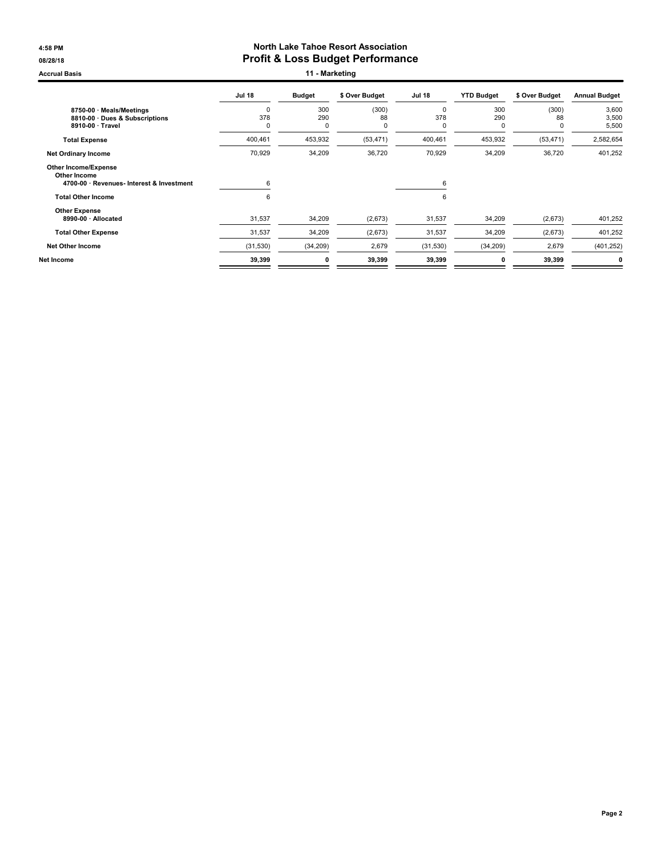#### 4:58 PM North Lake Tahoe Resort Association 08/28/18 **Profit & Loss Budget Performance**

Accrual Basis **11 - Marketing** 

|                                                                                                                       | <b>Jul 18</b>           | <b>Budget</b>             | \$ Over Budget   | <b>Jul 18</b>           | <b>YTD Budget</b> | \$ Over Budget   | <b>Annual Budget</b>    |
|-----------------------------------------------------------------------------------------------------------------------|-------------------------|---------------------------|------------------|-------------------------|-------------------|------------------|-------------------------|
| 8750-00 · Meals/Meetings<br>8810-00 Dues & Subscriptions<br>8910-00 · Travel                                          | $\mathbf 0$<br>378<br>0 | 300<br>290<br>$\mathbf 0$ | (300)<br>88<br>0 | $\mathbf 0$<br>378<br>0 | 300<br>290<br>0   | (300)<br>88<br>C | 3,600<br>3,500<br>5,500 |
| <b>Total Expense</b>                                                                                                  | 400,461                 | 453,932                   | (53, 471)        | 400,461                 | 453,932           | (53, 471)        | 2,582,654               |
| <b>Net Ordinary Income</b>                                                                                            | 70,929                  | 34,209                    | 36,720           | 70,929                  | 34,209            | 36,720           | 401,252                 |
| <b>Other Income/Expense</b><br>Other Income<br>4700-00 · Revenues- Interest & Investment<br><b>Total Other Income</b> | 6<br>6                  |                           |                  | 6<br>6                  |                   |                  |                         |
| <b>Other Expense</b><br>8990-00 · Allocated                                                                           | 31,537                  | 34,209                    | (2,673)          | 31,537                  | 34,209            | (2,673)          | 401,252                 |
| <b>Total Other Expense</b>                                                                                            | 31,537                  | 34,209                    | (2,673)          | 31,537                  | 34,209            | (2,673)          | 401,252                 |
| <b>Net Other Income</b>                                                                                               | (31, 530)               | (34, 209)                 | 2,679            | (31, 530)               | (34, 209)         | 2,679            | (401, 252)              |
| Net Income                                                                                                            | 39,399                  | 0                         | 39,399           | 39,399                  | 0                 | 39,399           | 0                       |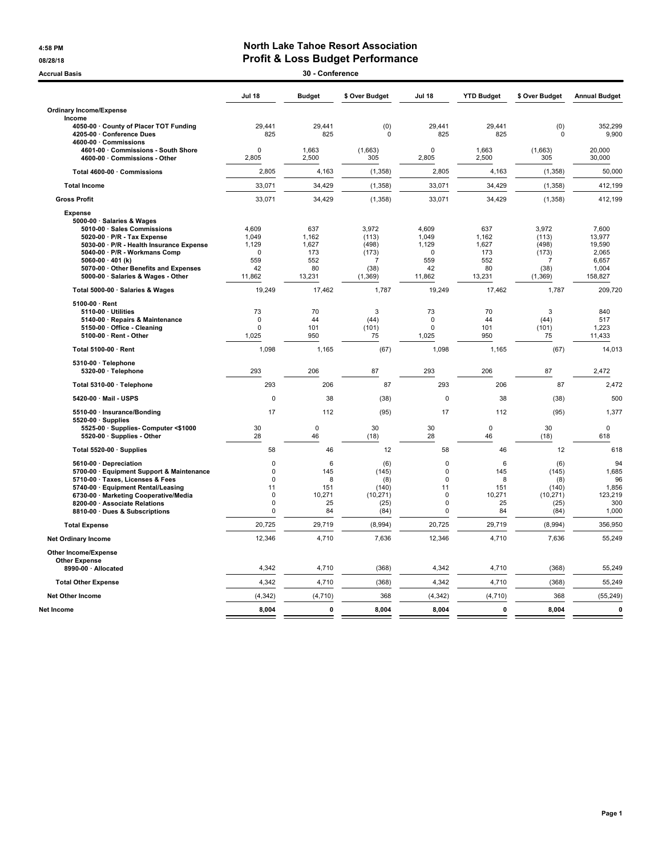#### 4:58 PM North Lake Tahoe Resort Association 08/28/18 08/28/18

| 30 - Conference<br><b>Accrual Basis</b>                                 |               |               |                |                         |                   |                           |                      |  |
|-------------------------------------------------------------------------|---------------|---------------|----------------|-------------------------|-------------------|---------------------------|----------------------|--|
|                                                                         | <b>Jul 18</b> | <b>Budget</b> | \$ Over Budget | <b>Jul 18</b>           | <b>YTD Budget</b> | \$ Over Budget            | <b>Annual Budget</b> |  |
| <b>Ordinary Income/Expense</b>                                          |               |               |                |                         |                   |                           |                      |  |
| Income                                                                  |               |               |                |                         |                   |                           |                      |  |
| 4050-00 · County of Placer TOT Funding                                  | 29,441        | 29,441        | (0)            | 29,441                  | 29,441            | (0)                       | 352,299              |  |
| 4205-00 Conference Dues                                                 | 825           | 825           | $\mathbf 0$    | 825                     | 825               | $\Omega$                  | 9,900                |  |
| 4600-00 Commissions<br>4601-00 Commissions - South Shore                | $\Omega$      | 1,663         | (1,663)        | $\Omega$                | 1,663             | (1,663)                   | 20,000               |  |
| 4600-00 · Commissions - Other                                           | 2,805         | 2,500         | 305            | 2,805                   | 2,500             | 305                       | 30,000               |  |
|                                                                         |               |               |                |                         |                   |                           |                      |  |
| Total 4600-00 · Commissions                                             | 2,805         | 4,163         | (1, 358)       | 2,805                   | 4,163             | (1, 358)                  | 50,000               |  |
| <b>Total Income</b>                                                     | 33,071        | 34,429        | (1, 358)       | 33,071                  | 34,429            | (1, 358)                  | 412,199              |  |
| <b>Gross Profit</b>                                                     | 33,071        | 34,429        | (1,358)        | 33,071                  | 34,429            | (1, 358)                  | 412,199              |  |
| <b>Expense</b>                                                          |               |               |                |                         |                   |                           |                      |  |
| 5000-00 · Salaries & Wages                                              |               |               |                |                         |                   |                           |                      |  |
| 5010-00 · Sales Commissions                                             | 4.609         | 637           | 3.972          | 4.609                   | 637               | 3.972                     | 7.600                |  |
| 5020-00 · P/R - Tax Expense<br>5030-00 · P/R - Health Insurance Expense | 1,049         | 1,162         | (113)          | 1,049                   | 1,162             | (113)                     | 13,977               |  |
| 5040-00 · P/R - Workmans Comp                                           | 1,129<br>0    | 1,627<br>173  | (498)<br>(173) | 1,129<br>$\mathbf 0$    | 1,627<br>173      | (498)<br>(173)            | 19,590<br>2,065      |  |
| 5060-00 $\cdot$ 401 (k)                                                 | 559           | 552           | 7              | 559                     | 552               | 7                         | 6,657                |  |
| 5070-00 Other Benefits and Expenses                                     | 42            | 80            | (38)           | 42                      | 80                | (38)                      | 1,004                |  |
| 5000-00 · Salaries & Wages - Other                                      | 11,862        | 13,231        | (1, 369)       | 11,862                  | 13,231            | (1, 369)                  | 158,827              |  |
| Total 5000-00 · Salaries & Wages                                        | 19,249        | 17.462        | 1,787          | 19,249                  | 17,462            | 1,787                     | 209,720              |  |
| 5100-00 · Rent                                                          |               |               |                |                         |                   |                           |                      |  |
| 5110-00 · Utilities                                                     | 73            | 70            | 3              | 73                      | 70                | $\ensuremath{\mathsf{3}}$ | 840                  |  |
| 5140-00 · Repairs & Maintenance                                         | $\pmb{0}$     | 44            | (44)           | 0                       | 44                | (44)                      | 517                  |  |
| 5150-00 Office - Cleaning                                               | 0             | 101           | (101)          | $\Omega$                | 101               | (101)                     | 1,223                |  |
| 5100-00 · Rent - Other                                                  | 1,025         | 950           | 75             | 1,025                   | 950               | 75                        | 11,433               |  |
| Total 5100-00 · Rent                                                    | 1,098         | 1,165         | (67)           | 1,098                   | 1,165             | (67)                      | 14,013               |  |
| 5310-00 · Telephone                                                     |               |               |                |                         |                   |                           |                      |  |
| 5320-00 · Telephone                                                     | 293           | 206           | 87             | 293                     | 206               | 87                        | 2,472                |  |
| Total 5310-00 · Telephone                                               | 293           | 206           | 87             | 293                     | 206               | 87                        | 2,472                |  |
| 5420-00 Mail - USPS                                                     | 0             | 38            | (38)           | $\mathbf 0$             | 38                | (38)                      | 500                  |  |
| 5510-00 · Insurance/Bonding                                             | 17            | 112           | (95)           | 17                      | 112               | (95)                      | 1,377                |  |
| $5520-00 \cdot$ Supplies<br>5525-00 · Supplies- Computer <\$1000        | 30            | $\mathbf 0$   | 30             | 30                      | $\mathbf 0$       | 30                        | 0                    |  |
| 5520-00 · Supplies - Other                                              | 28            | 46            | (18)           | 28                      | 46                | (18)                      | 618                  |  |
| Total 5520-00 · Supplies                                                | 58            | 46            | 12             | 58                      | 46                | 12                        | 618                  |  |
| 5610-00 · Depreciation                                                  | $\pmb{0}$     | 6             | (6)            | $\pmb{0}$               | 6                 | (6)                       | 94                   |  |
| 5700-00 · Equipment Support & Maintenance                               | $\mathbf 0$   | 145           | (145)          | 0                       | 145               | (145)                     | 1,685                |  |
| 5710-00 · Taxes, Licenses & Fees                                        | $\Omega$      | 8             | (8)            | $\Omega$                | 8                 | (8)                       | 96                   |  |
| 5740-00 · Equipment Rental/Leasing                                      | 11            | 151           | (140)          | 11                      | 151               | (140)                     | 1,856                |  |
| 6730-00 · Marketing Cooperative/Media                                   | $\mathbf 0$   | 10.271        | (10, 271)      | $\mathbf 0$             | 10.271            | (10, 271)                 | 123.219              |  |
| 8200-00 · Associate Relations<br>8810-00 · Dues & Subscriptions         | $\Omega$<br>0 | 25<br>84      | (25)<br>(84)   | $\Omega$<br>$\mathbf 0$ | 25<br>84          | (25)<br>(84)              | 300<br>1,000         |  |
| <b>Total Expense</b>                                                    | 20,725        | 29,719        | (8,994)        | 20,725                  | 29,719            | (8,994)                   | 356,950              |  |
| <b>Net Ordinary Income</b>                                              | 12,346        | 4,710         | 7,636          | 12,346                  | 4,710             | 7,636                     | 55,249               |  |
|                                                                         |               |               |                |                         |                   |                           |                      |  |
| Other Income/Expense                                                    |               |               |                |                         |                   |                           |                      |  |
| <b>Other Expense</b><br>8990-00 · Allocated                             | 4,342         | 4,710         | (368)          | 4,342                   | 4,710             | (368)                     | 55,249               |  |
| <b>Total Other Expense</b>                                              | 4,342         | 4,710         | (368)          | 4,342                   | 4,710             | (368)                     | 55,249               |  |
| <b>Net Other Income</b>                                                 | (4, 342)      | (4, 710)      | 368            | (4, 342)                | (4,710)           | 368                       | (55, 249)            |  |
| Net Income                                                              | 8,004         | $\mathbf 0$   | 8,004          | 8,004                   | 0                 | 8,004                     | $\pmb{0}$            |  |
|                                                                         |               |               |                |                         |                   |                           |                      |  |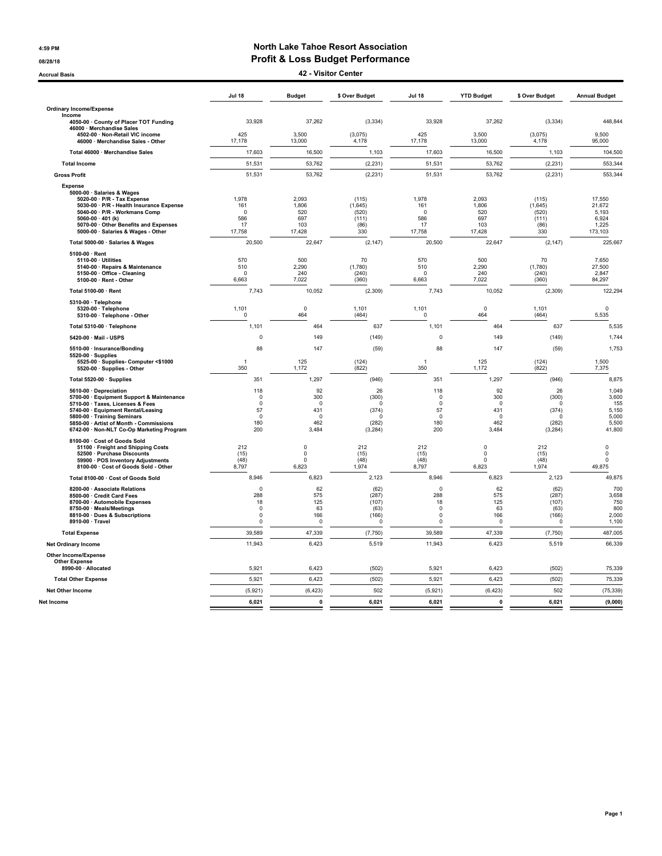#### 4:59 PM North Lake Tahoe Resort Association 08/28/18 OB/28/18 **Profit & Loss Budget Performance**

Accrual Basis 42 - Visitor Center

|                                                                                                                                                                                                                                                                      | <b>Jul 18</b>                                                   | <b>Budget</b>                                     | \$ Over Budget                                                      | <b>Jul 18</b>                                            | <b>YTD Budget</b>                                    | \$ Over Budget                                                    | <b>Annual Budget</b>                                       |
|----------------------------------------------------------------------------------------------------------------------------------------------------------------------------------------------------------------------------------------------------------------------|-----------------------------------------------------------------|---------------------------------------------------|---------------------------------------------------------------------|----------------------------------------------------------|------------------------------------------------------|-------------------------------------------------------------------|------------------------------------------------------------|
| <b>Ordinary Income/Expense</b>                                                                                                                                                                                                                                       |                                                                 |                                                   |                                                                     |                                                          |                                                      |                                                                   |                                                            |
| Income<br>4050-00 · County of Placer TOT Funding                                                                                                                                                                                                                     | 33,928                                                          | 37,262                                            | (3, 334)                                                            | 33,928                                                   | 37,262                                               | (3, 334)                                                          | 448,844                                                    |
| 46000 · Merchandise Sales<br>4502-00 · Non-Retail VIC income<br>46000 · Merchandise Sales - Other                                                                                                                                                                    | 425<br>17,178                                                   | 3,500<br>13,000                                   | (3,075)<br>4,178                                                    | 425<br>17,178                                            | 3,500<br>13,000                                      | (3,075)<br>4,178                                                  | 9,500<br>95,000                                            |
| Total 46000 · Merchandise Sales                                                                                                                                                                                                                                      | 17,603                                                          | 16,500                                            | 1,103                                                               | 17,603                                                   | 16,500                                               | 1,103                                                             | 104,500                                                    |
| <b>Total Income</b>                                                                                                                                                                                                                                                  | 51,531                                                          | 53,762                                            | (2, 231)                                                            | 51,531                                                   | 53,762                                               | (2, 231)                                                          | 553,344                                                    |
| <b>Gross Profit</b>                                                                                                                                                                                                                                                  | 51,531                                                          | 53,762                                            | (2, 231)                                                            | 51,531                                                   | 53,762                                               | (2, 231)                                                          | 553,344                                                    |
| <b>Expense</b><br>5000-00 · Salaries & Wages<br>5020-00 · P/R - Tax Expense<br>5030-00 · P/R - Health Insurance Expense<br>5040-00 · P/R - Workmans Comp                                                                                                             | 1,978<br>161<br>$\mathbf 0$                                     | 2,093<br>1,806<br>520                             | (115)<br>(1,645)<br>(520)                                           | 1,978<br>161<br>$\mathbf 0$                              | 2,093<br>1,806<br>520                                | (115)<br>(1,645)<br>(520)                                         | 17,550<br>21,672<br>5.193                                  |
| 5060-00 $\cdot$ 401 (k)<br>5070-00 · Other Benefits and Expenses<br>5000-00 · Salaries & Wages - Other                                                                                                                                                               | 586<br>17<br>17,758                                             | 697<br>103<br>17,428                              | (111)<br>(86)<br>330                                                | 586<br>17<br>17,758                                      | 697<br>103<br>17,428                                 | (111)<br>(86)<br>330                                              | 6,924<br>1,225<br>173,103                                  |
| Total 5000-00 · Salaries & Wages                                                                                                                                                                                                                                     | 20,500                                                          | 22,647                                            | (2, 147)                                                            | 20,500                                                   | 22,647                                               | (2, 147)                                                          | 225,667                                                    |
| 5100-00 · Rent<br>5110-00 · Utilities<br>5140-00 · Repairs & Maintenance<br>5150-00 Office - Cleaning<br>5100-00 · Rent - Other                                                                                                                                      | 570<br>510<br>6,663                                             | 500<br>2,290<br>240<br>7,022                      | 70<br>(1,780)<br>(240)<br>(360)                                     | 570<br>510<br>$\Omega$<br>6,663                          | 500<br>2,290<br>240<br>7,022                         | 70<br>(1,780)<br>(240)<br>(360)                                   | 7,650<br>27,500<br>2,847<br>84,297                         |
| Total 5100-00 · Rent                                                                                                                                                                                                                                                 | 7,743                                                           | 10,052                                            | (2, 309)                                                            | 7,743                                                    | 10,052                                               | (2, 309)                                                          | 122.294                                                    |
| 5310-00 · Telephone<br>5320-00 · Telephone<br>5310-00 · Telephone - Other                                                                                                                                                                                            | 1,101<br>$\mathbf 0$                                            | $\mathbf 0$<br>464                                | 1,101<br>(464)                                                      | 1,101<br>$\mathbf 0$                                     | $\mathbf 0$<br>464                                   | 1,101<br>(464)                                                    | $\mathbf 0$<br>5,535                                       |
| Total 5310-00 · Telephone                                                                                                                                                                                                                                            | 1,101                                                           | 464                                               | 637                                                                 | 1,101                                                    | 464                                                  | 637                                                               | 5,535                                                      |
| 5420-00 · Mail - USPS                                                                                                                                                                                                                                                | $\mathbf 0$                                                     | 149                                               | (149)                                                               | $\pmb{0}$                                                | 149                                                  | (149)                                                             | 1,744                                                      |
| 5510-00 · Insurance/Bonding<br>5520-00 · Supplies                                                                                                                                                                                                                    | 88                                                              | 147                                               | (59)                                                                | 88                                                       | 147                                                  | (59)                                                              | 1,753                                                      |
| 5525-00 · Supplies- Computer <\$1000<br>5520-00 · Supplies - Other                                                                                                                                                                                                   | -1<br>350                                                       | 125<br>1,172                                      | (124)<br>(822)                                                      | $\overline{1}$<br>350                                    | 125<br>1,172                                         | (124)<br>(822)                                                    | 1,500<br>7,375                                             |
| Total 5520-00 · Supplies                                                                                                                                                                                                                                             | 351                                                             | 1,297                                             | (946)                                                               | 351                                                      | 1,297                                                | (946)                                                             | 8,875                                                      |
| 5610-00 · Depreciation<br>5700-00 · Equipment Support & Maintenance<br>5710-00 · Taxes, Licenses & Fees<br>5740-00 · Equipment Rental/Leasing<br>5800-00 · Training Seminars<br>5850-00 · Artist of Month - Commissions<br>6742-00 · Non-NLT Co-Op Marketing Program | 118<br>$\Omega$<br>$\mathbf 0$<br>57<br>$\Omega$<br>180<br>200  | 92<br>300<br>$\Omega$<br>431<br>0<br>462<br>3,484 | 26<br>(300)<br>$\Omega$<br>(374)<br>$\mathbf 0$<br>(282)<br>(3,284) | 118<br>0<br>$\mathbf 0$<br>57<br>$\Omega$<br>180<br>200  | 92<br>300<br>$\mathbf 0$<br>431<br>0<br>462<br>3,484 | 26<br>(300)<br>$\Omega$<br>(374)<br>$\Omega$<br>(282)<br>(3, 284) | 1.049<br>3,600<br>155<br>5,150<br>5,000<br>5,500<br>41,800 |
| 8100-00 · Cost of Goods Sold<br>51100 · Freight and Shipping Costs<br>52500 · Purchase Discounts<br>59900 · POS Inventory Adjustments<br>8100-00 · Cost of Goods Sold - Other                                                                                        | 212<br>(15)<br>(48)<br>8,797                                    | $\pmb{0}$<br>0<br>$\mathbf 0$<br>6,823            | 212<br>(15)<br>(48)<br>1,974                                        | 212<br>(15)<br>(48)<br>8,797                             | $\mathbf 0$<br>$\pmb{0}$<br>$\Omega$<br>6,823        | 212<br>(15)<br>(48)<br>1,974                                      | $\mathsf 0$<br>$\mathbf 0$<br>$\Omega$<br>49,875           |
| Total 8100-00 · Cost of Goods Sold                                                                                                                                                                                                                                   | 8,946                                                           | 6,823                                             | 2,123                                                               | 8,946                                                    | 6,823                                                | 2,123                                                             | 49,875                                                     |
| 8200-00 · Associate Relations<br>8500-00 · Credit Card Fees<br>8700-00 · Automobile Expenses<br>8750-00 · Meals/Meetings<br>8810-00 · Dues & Subscriptions<br>8910-00 · Travel                                                                                       | $\Omega$<br>288<br>18<br>$\mathbf 0$<br>$\mathbf 0$<br>$\Omega$ | 62<br>575<br>125<br>63<br>166<br>0                | (62)<br>(287)<br>(107)<br>(63)<br>(166)<br>$\Omega$                 | $\Omega$<br>288<br>18<br>$\mathbf 0$<br>$\mathsf 0$<br>0 | 62<br>575<br>125<br>63<br>166<br>$\Omega$            | (62)<br>(287)<br>(107)<br>(63)<br>(166)<br>$\Omega$               | 700<br>3,658<br>750<br>800<br>2,000<br>1,100               |
| <b>Total Expense</b>                                                                                                                                                                                                                                                 | 39,589                                                          | 47,339                                            | (7, 750)                                                            | 39,589                                                   | 47,339                                               | (7, 750)                                                          | 487,005                                                    |
| <b>Net Ordinary Income</b>                                                                                                                                                                                                                                           | 11,943                                                          | 6,423                                             | 5,519                                                               | 11,943                                                   | 6,423                                                | 5,519                                                             | 66,339                                                     |
| <b>Other Income/Expense</b><br><b>Other Expense</b><br>8990-00 · Allocated                                                                                                                                                                                           | 5,921                                                           | 6,423                                             | (502)                                                               | 5,921                                                    | 6,423                                                | (502)                                                             | 75,339                                                     |
| <b>Total Other Expense</b>                                                                                                                                                                                                                                           | 5,921                                                           | 6,423                                             | (502)                                                               | 5,921                                                    | 6,423                                                | (502)                                                             | 75,339                                                     |
| Net Other Income                                                                                                                                                                                                                                                     | (5,921)                                                         | (6, 423)                                          | 502                                                                 | (5,921)                                                  | (6, 423)                                             | 502                                                               | (75, 339)                                                  |
| Net Income                                                                                                                                                                                                                                                           | 6.021                                                           | $\mathbf 0$                                       | 6.021                                                               | 6.021                                                    | $\mathbf 0$                                          | 6.021                                                             | (9,000)                                                    |
|                                                                                                                                                                                                                                                                      |                                                                 |                                                   |                                                                     |                                                          |                                                      |                                                                   |                                                            |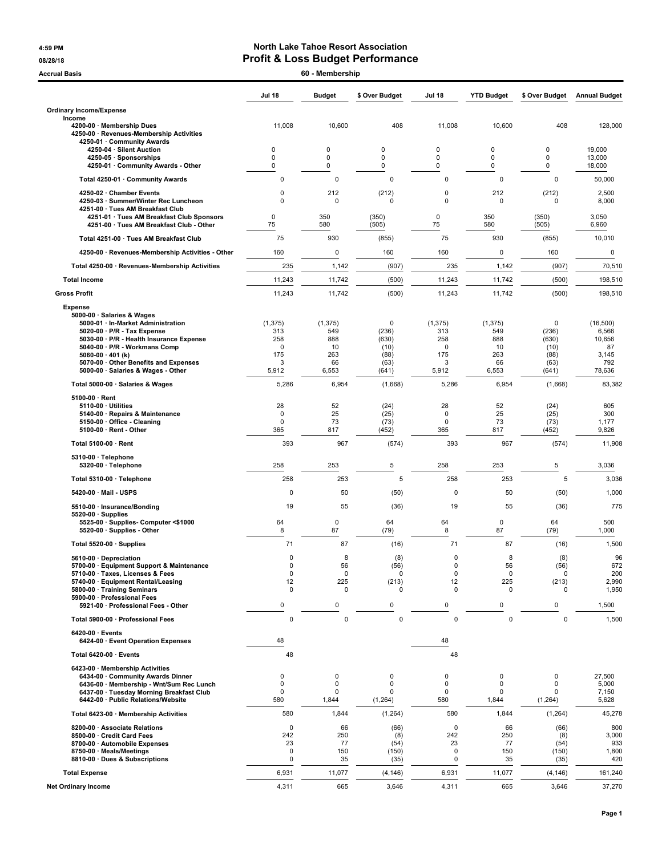#### 4:59 PM North Lake Tahoe Resort Association 08/28/18 **Profit & Loss Budget Performance**

| 60 - Membership<br><b>Accrual Basis</b>                                                                                                                                                                                                                                |                                                   |                                           |                                             |                                         |                                                    |                                                       |                                                    |
|------------------------------------------------------------------------------------------------------------------------------------------------------------------------------------------------------------------------------------------------------------------------|---------------------------------------------------|-------------------------------------------|---------------------------------------------|-----------------------------------------|----------------------------------------------------|-------------------------------------------------------|----------------------------------------------------|
|                                                                                                                                                                                                                                                                        | <b>Jul 18</b>                                     | <b>Budget</b>                             | \$ Over Budget                              | <b>Jul 18</b>                           | <b>YTD Budget</b>                                  | \$ Over Budget                                        | <b>Annual Budget</b>                               |
| <b>Ordinary Income/Expense</b>                                                                                                                                                                                                                                         |                                                   |                                           |                                             |                                         |                                                    |                                                       |                                                    |
| Income<br>4200-00 · Membership Dues<br>4250-00 · Revenues-Membership Activities<br>4250-01 · Community Awards                                                                                                                                                          | 11,008                                            | 10,600                                    | 408                                         | 11,008                                  | 10,600                                             | 408                                                   | 128,000                                            |
| 4250-04 · Silent Auction                                                                                                                                                                                                                                               | 0                                                 | $\mathbf 0$                               | $\mathbf 0$                                 | 0                                       | $\mathbf 0$                                        | $\mathbf 0$                                           | 19,000                                             |
| 4250-05 · Sponsorships<br>4250-01 · Community Awards - Other                                                                                                                                                                                                           | $\mathbf 0$<br>0                                  | $\mathbf 0$<br>0                          | $\mathbf 0$<br>0                            | 0<br>0                                  | $\mathbf 0$<br>0                                   | $\mathbf 0$<br>0                                      | 13,000<br>18,000                                   |
| Total 4250-01 · Community Awards                                                                                                                                                                                                                                       | 0                                                 | $\mathbf 0$                               | $\mathbf 0$                                 | $\mathbf 0$                             | $\mathbf 0$                                        | $\mathbf 0$                                           | 50,000                                             |
| 4250-02 · Chamber Events                                                                                                                                                                                                                                               | 0                                                 | 212                                       | (212)                                       | 0                                       | 212                                                | (212)                                                 | 2,500                                              |
| 4250-03 · Summer/Winter Rec Luncheon<br>4251-00 · Tues AM Breakfast Club                                                                                                                                                                                               | 0                                                 | $\mathbf 0$                               | $\mathbf 0$                                 | $\mathbf 0$                             | $\mathbf 0$                                        | $\mathbf 0$                                           | 8,000                                              |
| 4251-01 · Tues AM Breakfast Club Sponsors                                                                                                                                                                                                                              | 0                                                 | 350                                       | (350)                                       | $\mathbf 0$                             | 350                                                | (350)                                                 | 3,050                                              |
| 4251-00 · Tues AM Breakfast Club - Other                                                                                                                                                                                                                               | 75                                                | 580                                       | (505)                                       | 75                                      | 580                                                | (505)                                                 | 6,960                                              |
| Total 4251-00 · Tues AM Breakfast Club                                                                                                                                                                                                                                 | 75                                                | 930                                       | (855)                                       | 75                                      | 930                                                | (855)                                                 | 10,010                                             |
| 4250-00 · Revenues-Membership Activities - Other                                                                                                                                                                                                                       | 160                                               | $\mathbf 0$                               | 160                                         | 160                                     | $\pmb{0}$                                          | 160                                                   | $\pmb{0}$                                          |
| Total 4250-00 · Revenues-Membership Activities                                                                                                                                                                                                                         | 235                                               | 1,142                                     | (907)                                       | 235                                     | 1,142                                              | (907)                                                 | 70,510                                             |
| <b>Total Income</b>                                                                                                                                                                                                                                                    | 11,243                                            | 11,742                                    | (500)                                       | 11,243                                  | 11,742                                             | (500)                                                 | 198,510                                            |
| <b>Gross Profit</b>                                                                                                                                                                                                                                                    | 11,243                                            | 11,742                                    | (500)                                       | 11,243                                  | 11,742                                             | (500)                                                 | 198,510                                            |
| <b>Expense</b><br>5000-00 · Salaries & Wages<br>5000-01 · In-Market Administration<br>$5020-00 \cdot P/R$ - Tax Expense<br>5030-00 · P/R - Health Insurance Expense<br>5040-00 · P/R - Workmans Comp<br>5060-00 $\cdot$ 401 (k)<br>5070-00 Other Benefits and Expenses | (1, 375)<br>313<br>258<br>$\mathbf 0$<br>175<br>3 | (1, 375)<br>549<br>888<br>10<br>263<br>66 | 0<br>(236)<br>(630)<br>(10)<br>(88)<br>(63) | (1, 375)<br>313<br>258<br>0<br>175<br>3 | (1, 375)<br>549<br>888<br>10<br>263<br>66          | $\mathbf 0$<br>(236)<br>(630)<br>(10)<br>(88)<br>(63) | (16, 500)<br>6,566<br>10,656<br>87<br>3,145<br>792 |
| 5000-00 · Salaries & Wages - Other                                                                                                                                                                                                                                     | 5,912                                             | 6,553                                     | (641)                                       | 5,912                                   | 6,553                                              | (641)                                                 | 78,636                                             |
| Total 5000-00 · Salaries & Wages                                                                                                                                                                                                                                       | 5,286                                             | 6,954                                     | (1,668)                                     | 5,286                                   | 6,954                                              | (1,668)                                               | 83,382                                             |
| $5100-00 \cdot$ Rent<br>$5110-00 \cdot$ Utilities<br>5140-00 · Repairs & Maintenance<br>5150-00 Office - Cleaning<br>5100-00 · Rent - Other                                                                                                                            | 28<br>0<br>$\pmb{0}$<br>365                       | 52<br>25<br>73<br>817                     | (24)<br>(25)<br>(73)<br>(452)               | 28<br>$\mathbf 0$<br>$\mathbf 0$<br>365 | 52<br>25<br>73<br>817                              | (24)<br>(25)<br>(73)<br>(452)                         | 605<br>300<br>1,177<br>9,826                       |
| Total 5100-00 · Rent                                                                                                                                                                                                                                                   | 393                                               | 967                                       | (574)                                       | 393                                     | 967                                                | (574)                                                 | 11,908                                             |
| $5310-00 \cdot$ Telephone                                                                                                                                                                                                                                              |                                                   | 253                                       |                                             | 258                                     | 253                                                |                                                       |                                                    |
| 5320-00 · Telephone                                                                                                                                                                                                                                                    | 258<br>258                                        | 253                                       | 5<br>5                                      | 258                                     | 253                                                | 5<br>5                                                | 3,036<br>3,036                                     |
| Total 5310-00 · Telephone<br>5420-00 · Mail - USPS                                                                                                                                                                                                                     | 0                                                 | 50                                        | (50)                                        | 0                                       | 50                                                 | (50)                                                  | 1,000                                              |
| 5510-00 · Insurance/Bonding                                                                                                                                                                                                                                            | 19                                                | 55                                        |                                             | 19                                      | 55                                                 |                                                       | 775                                                |
| $5520-00 \cdot$ Supplies<br>5525-00 · Supplies- Computer <\$1000<br>5520-00 · Supplies - Other                                                                                                                                                                         | 64<br>8                                           | $\mathbf 0$<br>87                         | (36)<br>64<br>(79)                          | 64<br>8                                 | $\mathbf 0$<br>87                                  | (36)<br>64<br>(79)                                    | 500<br>1,000                                       |
| Total 5520-00 · Supplies                                                                                                                                                                                                                                               | 71                                                | 87                                        | (16)                                        | 71                                      | 87                                                 | (16)                                                  | 1,500                                              |
| 5610-00 Depreciation                                                                                                                                                                                                                                                   | 0                                                 | 8                                         | (8)                                         | 0                                       | 8                                                  | (8)                                                   | 96                                                 |
| 5700-00 · Equipment Support & Maintenance<br>5710-00 · Taxes, Licenses & Fees<br>5740-00 · Equipment Rental/Leasing<br>5800-00 · Training Seminars<br>5900-00 · Professional Fees                                                                                      | $\pmb{0}$<br>$\pmb{0}$<br>12<br>$\mathbf 0$       | 56<br>0<br>225<br>$\mathbf 0$             | (56)<br>0<br>(213)<br>0                     | $\pmb{0}$<br>0<br>12<br>$\mathbf 0$     | 56<br>0<br>225<br>$\mathbf 0$                      | (56)<br>0<br>(213)<br>0                               | 672<br>200<br>2,990<br>1,950                       |
| 5921-00 · Professional Fees - Other                                                                                                                                                                                                                                    | 0                                                 | 0                                         | 0                                           | $\pmb{0}$                               | 0                                                  | $\pmb{0}$                                             | 1,500                                              |
| Total 5900-00 · Professional Fees<br>$6420-00 \cdot$ Events<br>6424-00 · Event Operation Expenses                                                                                                                                                                      | $\pmb{0}$<br>48                                   | 0                                         | 0                                           | $\pmb{0}$<br>48                         | 0                                                  | $\mathbf 0$                                           | 1,500                                              |
| Total 6420-00 · Events                                                                                                                                                                                                                                                 | 48                                                |                                           |                                             | 48                                      |                                                    |                                                       |                                                    |
| 6423-00 · Membership Activities                                                                                                                                                                                                                                        |                                                   |                                           |                                             |                                         |                                                    |                                                       |                                                    |
| 6434-00 · Community Awards Dinner<br>6436-00 · Membership - Wnt/Sum Rec Lunch<br>6437-00 · Tuesday Morning Breakfast Club<br>6442-00 · Public Relations/Website                                                                                                        | 0<br>$\pmb{0}$<br>$\mathbf 0$<br>580              | $\mathbf 0$<br>0<br>$\mathbf 0$<br>1,844  | 0<br>0<br>0<br>(1, 264)                     | 0<br>0<br>$\mathbf 0$<br>580            | $\mathbf 0$<br>$\mathbf 0$<br>$\mathbf 0$<br>1,844 | $\mathbf 0$<br>$\mathbf 0$<br>$\mathbf 0$<br>(1, 264) | 27,500<br>5,000<br>7,150<br>5,628                  |
| Total 6423-00 · Membership Activities                                                                                                                                                                                                                                  | 580                                               | 1,844                                     | (1, 264)                                    | 580                                     | 1,844                                              | (1, 264)                                              | 45,278                                             |
| 8200-00 · Associate Relations<br>8500-00 · Credit Card Fees<br>8700-00 · Automobile Expenses<br>8750-00 · Meals/Meetings<br>8810-00 · Dues & Subscriptions                                                                                                             | $\mathbf 0$<br>242<br>23<br>0<br>0                | 66<br>250<br>77<br>150<br>35              | (66)<br>(8)<br>(54)<br>(150)<br>(35)        | $\mathbf 0$<br>242<br>23<br>0<br>0      | 66<br>250<br>77<br>150<br>35                       | (66)<br>(8)<br>(54)<br>(150)<br>(35)                  | 800<br>3,000<br>933<br>1,800<br>420                |
| <b>Total Expense</b>                                                                                                                                                                                                                                                   | 6,931                                             | 11,077                                    | (4, 146)                                    | 6,931                                   | 11,077                                             | (4, 146)                                              | 161,240                                            |
| <b>Net Ordinary Income</b>                                                                                                                                                                                                                                             | 4,311                                             | 665                                       | 3,646                                       | 4,311                                   | 665                                                | 3,646                                                 | 37,270                                             |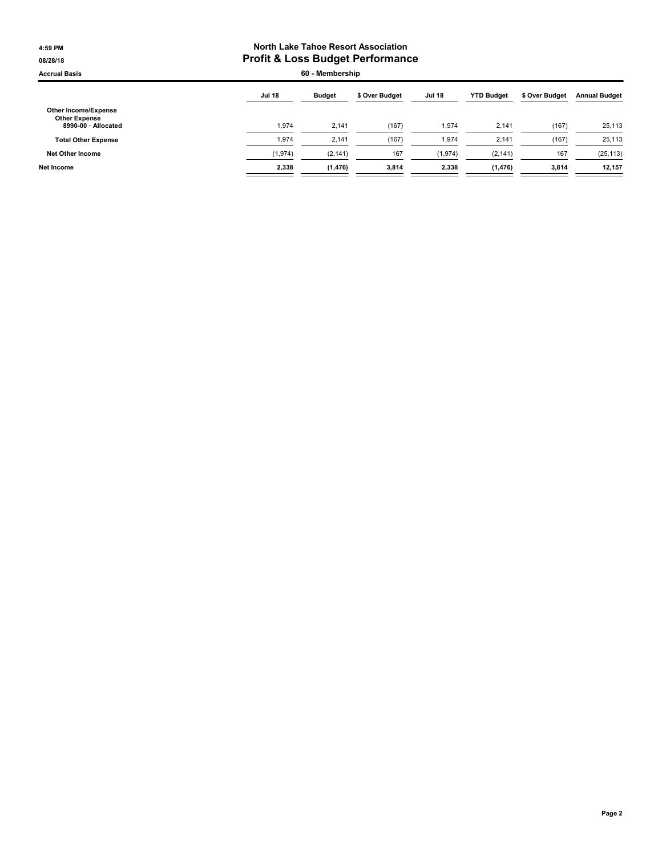#### 4:59 PM North Lake Tahoe Resort Association 08/28/18 **Profit & Loss Budget Performance**

Accrual Basis 60 - Membership

| <b>Jul 18</b> | <b>Budget</b> | \$ Over Budget | <b>Jul 18</b> | <b>YTD Budget</b> | \$ Over Budget | <b>Annual Budget</b> |
|---------------|---------------|----------------|---------------|-------------------|----------------|----------------------|
| 1.974         | 2.141         | (167)          | 1.974         | 2,141             | (167)          | 25,113               |
| 1.974         | 2.141         | (167)          | 1,974         | 2.141             | (167)          | 25,113               |
| (1, 974)      | (2, 141)      | 167            | (1, 974)      | (2, 141)          | 167            | (25, 113)            |
| 2,338         | (1, 476)      | 3,814          | 2.338         | (1, 476)          | 3,814          | 12,157               |
|               |               |                |               |                   |                |                      |